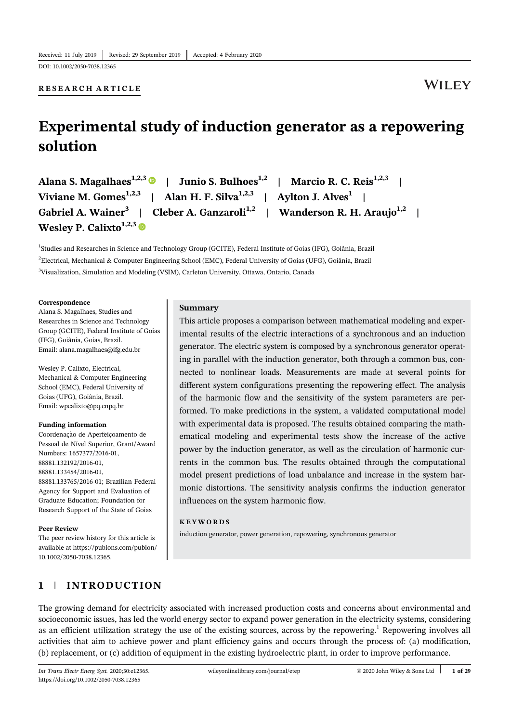DOI: 10.1002/2050-7038.12365

#### RESEARCH ARTICLE

# Experimental study of induction generator as a repowering solution

Alana S. Magalhaes<sup>1,2,3</sup> | Junio S. Bulhoes<sup>1,2</sup> | Marcio R. C. Reis<sup>1,2,3</sup> Viviane M. Gomes<sup>1,2,3</sup> | Alan H. F. Silva<sup>1,2,3</sup> | Aylton J. Alves<sup>1</sup> | Gabriel A. Wainer<sup>3</sup> | Cleber A. Ganzaroli<sup>1,2</sup> | Wanderson R. H. Araujo<sup>1,2</sup> | Wesley P. Calixto<sup>1,2,3</sup>

<sup>1</sup>Studies and Researches in Science and Technology Group (GCITE), Federal Institute of Goias (IFG), Goiânia, Brazil 2 Electrical, Mechanical & Computer Engineering School (EMC), Federal University of Goias (UFG), Goiânia, Brazil <sup>3</sup>Visualization, Simulation and Modeling (VSIM), Carleton University, Ottawa, Ontario, Canada

#### Correspondence

Alana S. Magalhaes, Studies and Researches in Science and Technology Group (GCITE), Federal Institute of Goias (IFG), Goiânia, Goias, Brazil. Email: alana.magalhaes@ifg.edu.br

Wesley P. Calixto, Electrical, Mechanical & Computer Engineering School (EMC), Federal University of Goias (UFG), Goiânia, Brazil. Email: wpcalixto@pq.cnpq.br

#### Funding information

Coordenação de Aperfeiçoamento de Pessoal de Nível Superior, Grant/Award Numbers: 1657377/2016-01, 88881.132192/2016-01, 88881.133454/2016-01, 88881.133765/2016-01; Brazilian Federal Agency for Support and Evaluation of Graduate Education; Foundation for Research Support of the State of Goias

#### Peer Review

The peer review history for this article is available at https://publons.com/publon/ 10.1002/2050-7038.12365.

#### Summary

This article proposes a comparison between mathematical modeling and experimental results of the electric interactions of a synchronous and an induction generator. The electric system is composed by a synchronous generator operating in parallel with the induction generator, both through a common bus, connected to nonlinear loads. Measurements are made at several points for different system configurations presenting the repowering effect. The analysis of the harmonic flow and the sensitivity of the system parameters are performed. To make predictions in the system, a validated computational model with experimental data is proposed. The results obtained comparing the mathematical modeling and experimental tests show the increase of the active power by the induction generator, as well as the circulation of harmonic currents in the common bus. The results obtained through the computational model present predictions of load unbalance and increase in the system harmonic distortions. The sensitivity analysis confirms the induction generator influences on the system harmonic flow.

#### KEYWORDS

induction generator, power generation, repowering, synchronous generator

### 1 | INTRODUCTION

The growing demand for electricity associated with increased production costs and concerns about environmental and socioeconomic issues, has led the world energy sector to expand power generation in the electricity systems, considering as an efficient utilization strategy the use of the existing sources, across by the repowering.<sup>1</sup> Repowering involves all activities that aim to achieve power and plant efficiency gains and occurs through the process of: (a) modification, (b) replacement, or (c) addition of equipment in the existing hydroelectric plant, in order to improve performance.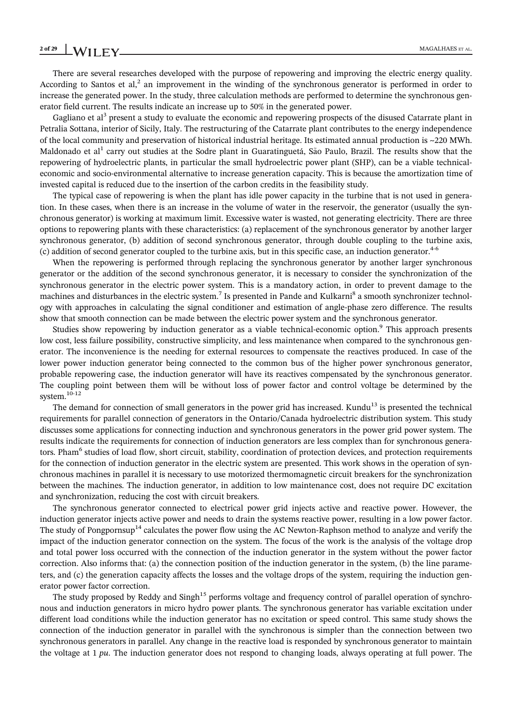### 2 of 29 WILEY MAGALHAES ET AL.

There are several researches developed with the purpose of repowering and improving the electric energy quality. According to Santos et al,<sup>2</sup> an improvement in the winding of the synchronous generator is performed in order to increase the generated power. In the study, three calculation methods are performed to determine the synchronous generator field current. The results indicate an increase up to 50% in the generated power.

Gagliano et al<sup>3</sup> present a study to evaluate the economic and repowering prospects of the disused Catarrate plant in Petralia Sottana, interior of Sicily, Italy. The restructuring of the Catarrate plant contributes to the energy independence of the local community and preservation of historical industrial heritage. Its estimated annual production is ~220 MWh. Maldonado et al<sup>1</sup> carry out studies at the Sodre plant in Guaratinguetá, São Paulo, Brazil. The results show that the repowering of hydroelectric plants, in particular the small hydroelectric power plant (SHP), can be a viable technicaleconomic and socio-environmental alternative to increase generation capacity. This is because the amortization time of invested capital is reduced due to the insertion of the carbon credits in the feasibility study.

The typical case of repowering is when the plant has idle power capacity in the turbine that is not used in generation. In these cases, when there is an increase in the volume of water in the reservoir, the generator (usually the synchronous generator) is working at maximum limit. Excessive water is wasted, not generating electricity. There are three options to repowering plants with these characteristics: (a) replacement of the synchronous generator by another larger synchronous generator, (b) addition of second synchronous generator, through double coupling to the turbine axis, (c) addition of second generator coupled to the turbine axis, but in this specific case, an induction generator.4-6

When the repowering is performed through replacing the synchronous generator by another larger synchronous generator or the addition of the second synchronous generator, it is necessary to consider the synchronization of the synchronous generator in the electric power system. This is a mandatory action, in order to prevent damage to the machines and disturbances in the electric system.<sup>7</sup> Is presented in Pande and Kulkarni<sup>8</sup> a smooth synchronizer technology with approaches in calculating the signal conditioner and estimation of angle-phase zero difference. The results show that smooth connection can be made between the electric power system and the synchronous generator.

Studies show repowering by induction generator as a viable technical-economic option.<sup>9</sup> This approach presents low cost, less failure possibility, constructive simplicity, and less maintenance when compared to the synchronous generator. The inconvenience is the needing for external resources to compensate the reactives produced. In case of the lower power induction generator being connected to the common bus of the higher power synchronous generator, probable repowering case, the induction generator will have its reactives compensated by the synchronous generator. The coupling point between them will be without loss of power factor and control voltage be determined by the system.<sup>10-12</sup>

The demand for connection of small generators in the power grid has increased. Kundu<sup>13</sup> is presented the technical requirements for parallel connection of generators in the Ontario/Canada hydroelectric distribution system. This study discusses some applications for connecting induction and synchronous generators in the power grid power system. The results indicate the requirements for connection of induction generators are less complex than for synchronous generators. Pham<sup>6</sup> studies of load flow, short circuit, stability, coordination of protection devices, and protection requirements for the connection of induction generator in the electric system are presented. This work shows in the operation of synchronous machines in parallel it is necessary to use motorized thermomagnetic circuit breakers for the synchronization between the machines. The induction generator, in addition to low maintenance cost, does not require DC excitation and synchronization, reducing the cost with circuit breakers.

The synchronous generator connected to electrical power grid injects active and reactive power. However, the induction generator injects active power and needs to drain the systems reactive power, resulting in a low power factor. The study of Pongpornsup<sup>14</sup> calculates the power flow using the AC Newton-Raphson method to analyze and verify the impact of the induction generator connection on the system. The focus of the work is the analysis of the voltage drop and total power loss occurred with the connection of the induction generator in the system without the power factor correction. Also informs that: (a) the connection position of the induction generator in the system, (b) the line parameters, and (c) the generation capacity affects the losses and the voltage drops of the system, requiring the induction generator power factor correction.

The study proposed by Reddy and Singh<sup>15</sup> performs voltage and frequency control of parallel operation of synchronous and induction generators in micro hydro power plants. The synchronous generator has variable excitation under different load conditions while the induction generator has no excitation or speed control. This same study shows the connection of the induction generator in parallel with the synchronous is simpler than the connection between two synchronous generators in parallel. Any change in the reactive load is responded by synchronous generator to maintain the voltage at 1 pu. The induction generator does not respond to changing loads, always operating at full power. The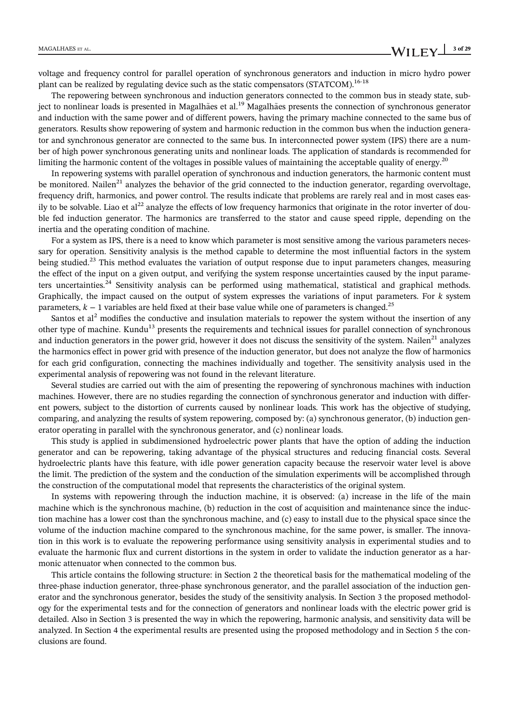voltage and frequency control for parallel operation of synchronous generators and induction in micro hydro power plant can be realized by regulating device such as the static compensators (STATCOM).<sup>16-18</sup>

The repowering between synchronous and induction generators connected to the common bus in steady state, subject to nonlinear loads is presented in Magalhães et al.<sup>19</sup> Magalhães presents the connection of synchronous generator and induction with the same power and of different powers, having the primary machine connected to the same bus of generators. Results show repowering of system and harmonic reduction in the common bus when the induction generator and synchronous generator are connected to the same bus. In interconnected power system (IPS) there are a number of high power synchronous generating units and nonlinear loads. The application of standards is recommended for limiting the harmonic content of the voltages in possible values of maintaining the acceptable quality of energy.<sup>20</sup>

In repowering systems with parallel operation of synchronous and induction generators, the harmonic content must be monitored. Nailen<sup>21</sup> analyzes the behavior of the grid connected to the induction generator, regarding overvoltage, frequency drift, harmonics, and power control. The results indicate that problems are rarely real and in most cases easily to be solvable. Liao et al<sup>22</sup> analyze the effects of low frequency harmonics that originate in the rotor inverter of double fed induction generator. The harmonics are transferred to the stator and cause speed ripple, depending on the inertia and the operating condition of machine.

For a system as IPS, there is a need to know which parameter is most sensitive among the various parameters necessary for operation. Sensitivity analysis is the method capable to determine the most influential factors in the system being studied.<sup>23</sup> This method evaluates the variation of output response due to input parameters changes, measuring the effect of the input on a given output, and verifying the system response uncertainties caused by the input parameters uncertainties.<sup>24</sup> Sensitivity analysis can be performed using mathematical, statistical and graphical methods. Graphically, the impact caused on the output of system expresses the variations of input parameters. For  $k$  system parameters,  $k - 1$  variables are held fixed at their base value while one of parameters is changed.<sup>25</sup>

Santos et  $al<sup>2</sup>$  modifies the conductive and insulation materials to repower the system without the insertion of any other type of machine. Kundu<sup>13</sup> presents the requirements and technical issues for parallel connection of synchronous and induction generators in the power grid, however it does not discuss the sensitivity of the system. Nailen<sup>21</sup> analyzes the harmonics effect in power grid with presence of the induction generator, but does not analyze the flow of harmonics for each grid configuration, connecting the machines individually and together. The sensitivity analysis used in the experimental analysis of repowering was not found in the relevant literature.

Several studies are carried out with the aim of presenting the repowering of synchronous machines with induction machines. However, there are no studies regarding the connection of synchronous generator and induction with different powers, subject to the distortion of currents caused by nonlinear loads. This work has the objective of studying, comparing, and analyzing the results of system repowering, composed by: (a) synchronous generator, (b) induction generator operating in parallel with the synchronous generator, and (c) nonlinear loads.

This study is applied in subdimensioned hydroelectric power plants that have the option of adding the induction generator and can be repowering, taking advantage of the physical structures and reducing financial costs. Several hydroelectric plants have this feature, with idle power generation capacity because the reservoir water level is above the limit. The prediction of the system and the conduction of the simulation experiments will be accomplished through the construction of the computational model that represents the characteristics of the original system.

In systems with repowering through the induction machine, it is observed: (a) increase in the life of the main machine which is the synchronous machine, (b) reduction in the cost of acquisition and maintenance since the induction machine has a lower cost than the synchronous machine, and (c) easy to install due to the physical space since the volume of the induction machine compared to the synchronous machine, for the same power, is smaller. The innovation in this work is to evaluate the repowering performance using sensitivity analysis in experimental studies and to evaluate the harmonic flux and current distortions in the system in order to validate the induction generator as a harmonic attenuator when connected to the common bus.

This article contains the following structure: in Section 2 the theoretical basis for the mathematical modeling of the three-phase induction generator, three-phase synchronous generator, and the parallel association of the induction generator and the synchronous generator, besides the study of the sensitivity analysis. In Section 3 the proposed methodology for the experimental tests and for the connection of generators and nonlinear loads with the electric power grid is detailed. Also in Section 3 is presented the way in which the repowering, harmonic analysis, and sensitivity data will be analyzed. In Section 4 the experimental results are presented using the proposed methodology and in Section 5 the conclusions are found.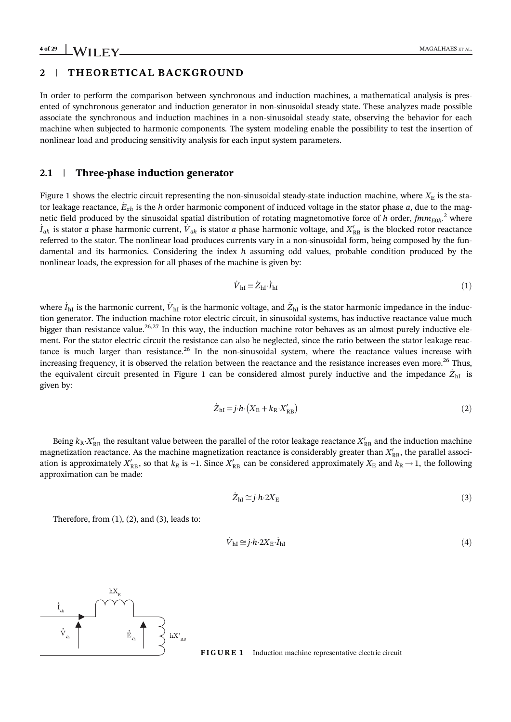### $\mathsf{W}\mathsf{H}\,\mathsf{F}\mathsf{Y} \hspace{-0.06cm}-\hspace{-0.06cm}\mathsf{MAGALHAES\,ET\,AL}$

### 2 | THEORETICAL BACKGROUND

In order to perform the comparison between synchronous and induction machines, a mathematical analysis is presented of synchronous generator and induction generator in non-sinusoidal steady state. These analyzes made possible associate the synchronous and induction machines in a non-sinusoidal steady state, observing the behavior for each machine when subjected to harmonic components. The system modeling enable the possibility to test the insertion of nonlinear load and producing sensitivity analysis for each input system parameters.

### 2.1 | Three-phase induction generator

Figure 1 shows the electric circuit representing the non-sinusoidal steady-state induction machine, where  $X_{\rm E}$  is the stator leakage reactance,  $E_{ah}$  is the h order harmonic component of induced voltage in the stator phase a, due to the magnetic field produced by the sinusoidal spatial distribution of rotating magnetomotive force of h order,  $fmm_{E0h}$ .<sup>2</sup> where  $\dot{I}_{ah}$  is stator a phase harmonic current,  $\dot{V}_{ah}$  is stator a phase harmonic voltage, and  $X'_{RB}$  is the blocked rotor reactance referred to the stator. The nonlinear load produces currents vary in a non-sinusoidal form, being composed by the fundamental and its harmonics. Considering the index  $h$  assuming odd values, probable condition produced by the nonlinear loads, the expression for all phases of the machine is given by:

$$
\dot{V}_{\text{hl}} = \dot{Z}_{\text{hl}} \cdot \dot{I}_{\text{hl}} \tag{1}
$$

where  $\dot{I}_{\rm hl}$  is the harmonic current,  $\dot{V}_{\rm hl}$  is the harmonic voltage, and  $\dot{Z}_{\rm hl}$  is the stator harmonic impedance in the induction generator. The induction machine rotor electric circuit, in sinusoidal systems, has inductive reactance value much bigger than resistance value.<sup>26,27</sup> In this way, the induction machine rotor behaves as an almost purely inductive element. For the stator electric circuit the resistance can also be neglected, since the ratio between the stator leakage reactance is much larger than resistance.<sup>26</sup> In the non-sinusoidal system, where the reactance values increase with increasing frequency, it is observed the relation between the reactance and the resistance increases even more.<sup>26</sup> Thus, the equivalent circuit presented in Figure 1 can be considered almost purely inductive and the impedance  $\dot{Z}_{\text{hI}}$  is given by:

$$
\dot{Z}_{\rm hl} = j \cdot h \cdot (X_{\rm E} + k_{\rm R} \cdot X'_{\rm RB}) \tag{2}
$$

Being  $k_R$   $X'_{RB}$  the resultant value between the parallel of the rotor leakage reactance  $X'_{RB}$  and the induction machine magnetization reactance. As the machine magnetization reactance is considerably greater than  $X'_{\rm RB}$ , the parallel association is approximately  $X'_{RB}$ , so that  $k_R$  is ~1. Since  $X'_{RB}$  can be considered approximately  $X_E$  and  $k_R \to 1$ , the following approximation can be made:

$$
\dot{Z}_{\rm hl} \approx j \cdot h \cdot 2X_{\rm E} \tag{3}
$$

Therefore, from  $(1)$ ,  $(2)$ , and  $(3)$ , leads to:

$$
\dot{V}_{\text{hI}} \cong j \cdot h \cdot 2X_{\text{E}} \cdot \dot{I}_{\text{hI}} \tag{4}
$$



FIGURE 1 Induction machine representative electric circuit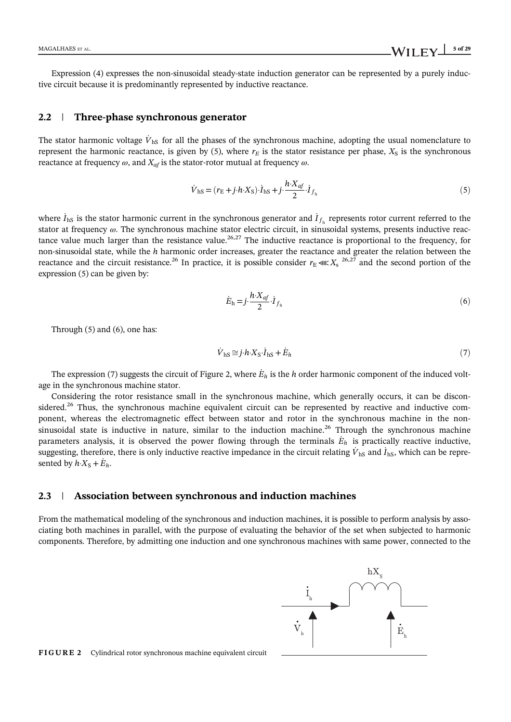Expression (4) expresses the non-sinusoidal steady-state induction generator can be represented by a purely inductive circuit because it is predominantly represented by inductive reactance.

### 2.2 | Three-phase synchronous generator

The stator harmonic voltage  $\dot{V}_{\text{hS}}$  for all the phases of the synchronous machine, adopting the usual nomenclature to represent the harmonic reactance, is given by (5), where  $r_E$  is the stator resistance per phase,  $X_S$  is the synchronous reactance at frequency  $\omega$ , and  $X_{af}$  is the stator-rotor mutual at frequency  $\omega$ .

$$
\dot{V}_{\text{hS}} = (r_{\text{E}} + j \cdot h \cdot X_{\text{S}}) \cdot \dot{I}_{\text{hS}} + j \cdot \frac{h \cdot X_{af}}{2} \cdot \dot{I}_{f_{\text{h}}}
$$
\n
$$
\tag{5}
$$

where  $\dot{I}_{\rm hs}$  is the stator harmonic current in the synchronous generator and  $\dot{I}_{f_{\rm h}}$  represents rotor current referred to the stator at frequency  $\omega$ . The synchronous machine stator electric circuit, in sinusoidal systems, presents inductive reactance value much larger than the resistance value.<sup>26,27</sup> The inductive reactance is proportional to the frequency, for non-sinusoidal state, while the  $h$  harmonic order increases, greater the reactance and greater the relation between the reactance and the circuit resistance.<sup>26</sup> In practice, it is possible consider  $r_E \lll X_s \sim 26.27$  and the second portion of the expression (5) can be given by:

$$
\dot{E}_{\rm h} = j \cdot \frac{h \cdot X_{\rm af}}{2} \cdot \dot{I}_{f_{\rm h}} \tag{6}
$$

Through (5) and (6), one has:

$$
\dot{V}_{\text{hS}} \cong j \cdot h \cdot X_{\text{S}} \cdot \dot{I}_{\text{hS}} + \dot{E}_h \tag{7}
$$

The expression (7) suggests the circuit of Figure 2, where  $E_h$  is the h order harmonic component of the induced voltage in the synchronous machine stator.

Considering the rotor resistance small in the synchronous machine, which generally occurs, it can be disconsidered.<sup>26</sup> Thus, the synchronous machine equivalent circuit can be represented by reactive and inductive component, whereas the electromagnetic effect between stator and rotor in the synchronous machine in the nonsinusoidal state is inductive in nature, similar to the induction machine.<sup>26</sup> Through the synchronous machine parameters analysis, it is observed the power flowing through the terminals  $E_h$  is practically reactive inductive, suggesting, therefore, there is only inductive reactive impedance in the circuit relating  $\dot{V}_{\rm hs}$  and  $\dot{I}_{\rm hs}$ , which can be represented by  $h \cdot X_{\rm S} + \dot{E}_h$ .

### 2.3 | Association between synchronous and induction machines

From the mathematical modeling of the synchronous and induction machines, it is possible to perform analysis by associating both machines in parallel, with the purpose of evaluating the behavior of the set when subjected to harmonic components. Therefore, by admitting one induction and one synchronous machines with same power, connected to the



FIGURE 2 Cylindrical rotor synchronous machine equivalent circuit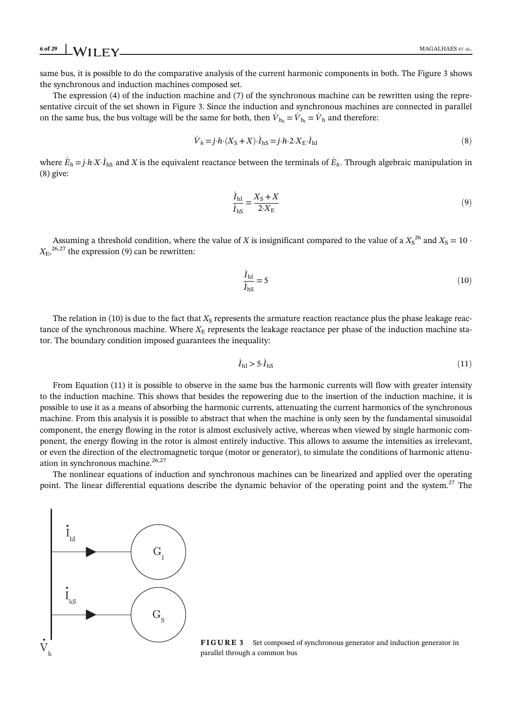### 6 of 29 WILEY MAGALHAES ET AL.

same bus, it is possible to do the comparative analysis of the current harmonic components in both. The Figure 3 shows the synchronous and induction machines composed set.

The expression (4) of the induction machine and (7) of the synchronous machine can be rewritten using the representative circuit of the set shown in Figure 3. Since the induction and synchronous machines are connected in parallel on the same bus, the bus voltage will be the same for both, then  $\dot{V}_{h_s} = \dot{V}_{h_l} = \dot{V}_{h}$  and therefore:

$$
\dot{V}_h = j \cdot h \cdot (X_S + X) \cdot \dot{I}_{\text{h}S} = j \cdot h \cdot 2 \cdot X_{\text{E}} \cdot \dot{I}_{\text{h}I}
$$
\n
$$
\tag{8}
$$

where  $E_h = j \cdot h \cdot X \cdot I_{hS}$  and X is the equivalent reactance between the terminals of  $E_h$ . Through algebraic manipulation in (8) give:

$$
\frac{\dot{I}_{\text{hI}}}{\dot{I}_{\text{hS}}} = \frac{X_{\text{S}} + X}{2 \cdot X_{\text{E}}}
$$
\n<sup>(9)</sup>

Assuming a threshold condition, where the value of X is insignificant compared to the value of a  $X_s^{26}$  and  $X_s = 10$ .  $X_{\text{E}}$ ,  $^{26,27}$  the expression (9) can be rewritten:

$$
\frac{\dot{I}_{\text{hI}}}{\dot{I}_{\text{hS}}} = 5\tag{10}
$$

The relation in (10) is due to the fact that  $X<sub>S</sub>$  represents the armature reaction reactance plus the phase leakage reactance of the synchronous machine. Where  $X_E$  represents the leakage reactance per phase of the induction machine stator. The boundary condition imposed guarantees the inequality:

$$
\dot{I}_{\text{h}1} > 5 \cdot \dot{I}_{\text{h}S} \tag{11}
$$

From Equation (11) it is possible to observe in the same bus the harmonic currents will flow with greater intensity to the induction machine. This shows that besides the repowering due to the insertion of the induction machine, it is possible to use it as a means of absorbing the harmonic currents, attenuating the current harmonics of the synchronous machine. From this analysis it is possible to abstract that when the machine is only seen by the fundamental sinusoidal component, the energy flowing in the rotor is almost exclusively active, whereas when viewed by single harmonic component, the energy flowing in the rotor is almost entirely inductive. This allows to assume the intensities as irrelevant, or even the direction of the electromagnetic torque (motor or generator), to simulate the conditions of harmonic attenuation in synchronous machine.<sup>26,27</sup>

The nonlinear equations of induction and synchronous machines can be linearized and applied over the operating point. The linear differential equations describe the dynamic behavior of the operating point and the system.<sup>27</sup> The

 $\overline{I}_{\overline{h}}$  $G_{\text{I}}$  $\mathbf{i}_{\rm{hS}}$  $\mathrm{G}_{_{\mathrm{S}}}$ 

FIGURE 3 Set composed of synchronous generator and induction generator in parallel through a common bus

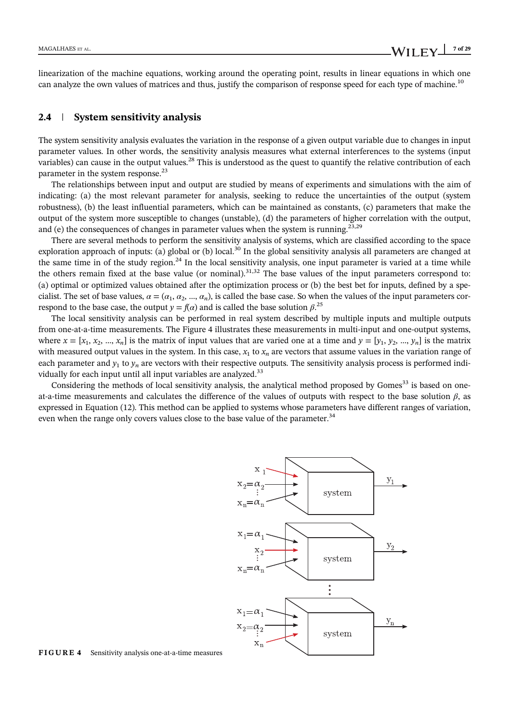linearization of the machine equations, working around the operating point, results in linear equations in which one can analyze the own values of matrices and thus, justify the comparison of response speed for each type of machine.<sup>10</sup>

### 2.4 | System sensitivity analysis

The system sensitivity analysis evaluates the variation in the response of a given output variable due to changes in input parameter values. In other words, the sensitivity analysis measures what external interferences to the systems (input variables) can cause in the output values. $^{28}$  This is understood as the quest to quantify the relative contribution of each parameter in the system response.<sup>23</sup>

The relationships between input and output are studied by means of experiments and simulations with the aim of indicating: (a) the most relevant parameter for analysis, seeking to reduce the uncertainties of the output (system robustness), (b) the least influential parameters, which can be maintained as constants, (c) parameters that make the output of the system more susceptible to changes (unstable), (d) the parameters of higher correlation with the output, and (e) the consequences of changes in parameter values when the system is running.<sup>23,29</sup>

There are several methods to perform the sensitivity analysis of systems, which are classified according to the space exploration approach of inputs: (a) global or (b) local.<sup>30</sup> In the global sensitivity analysis all parameters are changed at the same time in of the study region.<sup>24</sup> In the local sensitivity analysis, one input parameter is varied at a time while the others remain fixed at the base value (or nominal). $31,32$  The base values of the input parameters correspond to: (a) optimal or optimized values obtained after the optimization process or (b) the best bet for inputs, defined by a specialist. The set of base values,  $\alpha = (\alpha_1, \alpha_2, ..., \alpha_n)$ , is called the base case. So when the values of the input parameters correspond to the base case, the output  $y = f(\alpha)$  and is called the base solution  $\beta$ .<sup>25</sup>

The local sensitivity analysis can be performed in real system described by multiple inputs and multiple outputs from one-at-a-time measurements. The Figure 4 illustrates these measurements in multi-input and one-output systems, where  $x = [x_1, x_2, ..., x_n]$  is the matrix of input values that are varied one at a time and  $y = [y_1, y_2, ..., y_n]$  is the matrix with measured output values in the system. In this case,  $x_1$  to  $x_n$  are vectors that assume values in the variation range of each parameter and  $y_1$  to  $y_n$  are vectors with their respective outputs. The sensitivity analysis process is performed individually for each input until all input variables are analyzed.<sup>33</sup>

Considering the methods of local sensitivity analysis, the analytical method proposed by Gomes<sup>33</sup> is based on oneat-a-time measurements and calculates the difference of the values of outputs with respect to the base solution  $\beta$ , as expressed in Equation (12). This method can be applied to systems whose parameters have different ranges of variation, even when the range only covers values close to the base value of the parameter.<sup>34</sup>



FIGURE 4 Sensitivity analysis one-at-a-time measures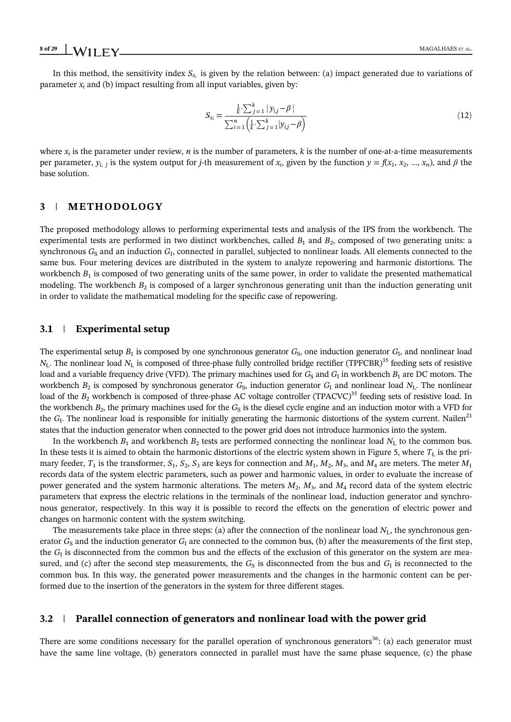In this method, the sensitivity index  $S_{x_i}$  is given by the relation between: (a) impact generated due to variations of parameter  $x_i$  and (b) impact resulting from all input variables, given by:

$$
S_{x_i} = \frac{\frac{1}{k} \cdot \sum_{j=1}^{k} |y_{i,j} - \beta|}{\sum_{i=1}^{n} \left(\frac{1}{k} \cdot \sum_{j=1}^{k} |y_{i,j} - \beta|\right)}
$$
(12)

where  $x_i$  is the parameter under review, *n* is the number of parameters, *k* is the number of one-at-a-time measurements per parameter,  $y_{i,j}$  is the system output for j-th measurement of  $x_i$ , given by the function  $y = f(x_1, x_2, ..., x_n)$ , and  $\beta$  the base solution.

### 3 | METHODOLOGY

The proposed methodology allows to performing experimental tests and analysis of the IPS from the workbench. The experimental tests are performed in two distinct workbenches, called  $B_1$  and  $B_2$ , composed of two generating units: a synchronous  $G_S$  and an induction  $G_I$ , connected in parallel, subjected to nonlinear loads. All elements connected to the same bus. Four metering devices are distributed in the system to analyze repowering and harmonic distortions. The workbench  $B_1$  is composed of two generating units of the same power, in order to validate the presented mathematical modeling. The workbench  $B_2$  is composed of a larger synchronous generating unit than the induction generating unit in order to validate the mathematical modeling for the specific case of repowering.

### 3.1 | Experimental setup

The experimental setup  $B_1$  is composed by one synchronous generator  $G_S$ , one induction generator  $G_I$ , and nonlinear load  $N_L$ . The nonlinear load  $N_L$  is composed of three-phase fully controlled bridge rectifier (TPFCBR)<sup>35</sup> feeding sets of resistive load and a variable frequency drive (VFD). The primary machines used for  $G_S$  and  $G_I$  in workbench  $B_1$  are DC motors. The workbench  $B_2$  is composed by synchronous generator  $G_S$ , induction generator  $G_I$  and nonlinear load  $N_L$ . The nonlinear load of the  $B_2$  workbench is composed of three-phase AC voltage controller (TPACVC)<sup>35</sup> feeding sets of resistive load. In the workbench  $B_2$ , the primary machines used for the  $G_S$  is the diesel cycle engine and an induction motor with a VFD for the  $G<sub>1</sub>$ . The nonlinear load is responsible for initially generating the harmonic distortions of the system current. Nailen<sup>21</sup> states that the induction generator when connected to the power grid does not introduce harmonics into the system.

In the workbench  $B_1$  and workbench  $B_2$  tests are performed connecting the nonlinear load  $N_L$  to the common bus. In these tests it is aimed to obtain the harmonic distortions of the electric system shown in Figure 5, where  $T_L$  is the primary feeder,  $T_1$  is the transformer,  $S_1$ ,  $S_2$ ,  $S_3$  are keys for connection and  $M_1$ ,  $M_2$ ,  $M_3$ , and  $M_4$  are meters. The meter  $M_1$ records data of the system electric parameters, such as power and harmonic values, in order to evaluate the increase of power generated and the system harmonic alterations. The meters  $M_2$ ,  $M_3$ , and  $M_4$  record data of the system electric parameters that express the electric relations in the terminals of the nonlinear load, induction generator and synchronous generator, respectively. In this way it is possible to record the effects on the generation of electric power and changes on harmonic content with the system switching.

The measurements take place in three steps: (a) after the connection of the nonlinear load  $N_L$ , the synchronous generator  $G_S$  and the induction generator  $G_I$  are connected to the common bus, (b) after the measurements of the first step, the  $G<sub>I</sub>$  is disconnected from the common bus and the effects of the exclusion of this generator on the system are measured, and (c) after the second step measurements, the  $G_S$  is disconnected from the bus and  $G_I$  is reconnected to the common bus. In this way, the generated power measurements and the changes in the harmonic content can be performed due to the insertion of the generators in the system for three different stages.

### 3.2 | Parallel connection of generators and nonlinear load with the power grid

There are some conditions necessary for the parallel operation of synchronous generators<sup>36</sup>: (a) each generator must have the same line voltage, (b) generators connected in parallel must have the same phase sequence, (c) the phase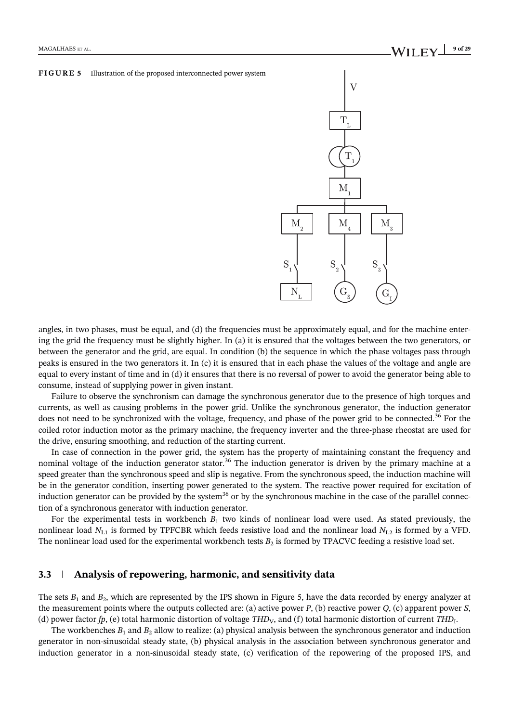

angles, in two phases, must be equal, and (d) the frequencies must be approximately equal, and for the machine entering the grid the frequency must be slightly higher. In (a) it is ensured that the voltages between the two generators, or between the generator and the grid, are equal. In condition (b) the sequence in which the phase voltages pass through peaks is ensured in the two generators it. In (c) it is ensured that in each phase the values of the voltage and angle are equal to every instant of time and in (d) it ensures that there is no reversal of power to avoid the generator being able to consume, instead of supplying power in given instant.

Failure to observe the synchronism can damage the synchronous generator due to the presence of high torques and currents, as well as causing problems in the power grid. Unlike the synchronous generator, the induction generator does not need to be synchronized with the voltage, frequency, and phase of the power grid to be connected.<sup>36</sup> For the coiled rotor induction motor as the primary machine, the frequency inverter and the three-phase rheostat are used for the drive, ensuring smoothing, and reduction of the starting current.

In case of connection in the power grid, the system has the property of maintaining constant the frequency and nominal voltage of the induction generator stator.<sup>36</sup> The induction generator is driven by the primary machine at a speed greater than the synchronous speed and slip is negative. From the synchronous speed, the induction machine will be in the generator condition, inserting power generated to the system. The reactive power required for excitation of induction generator can be provided by the system<sup>36</sup> or by the synchronous machine in the case of the parallel connection of a synchronous generator with induction generator.

For the experimental tests in workbench  $B<sub>1</sub>$  two kinds of nonlinear load were used. As stated previously, the nonlinear load  $N_{L1}$  is formed by TPFCBR which feeds resistive load and the nonlinear load  $N_{L2}$  is formed by a VFD. The nonlinear load used for the experimental workbench tests  $B_2$  is formed by TPACVC feeding a resistive load set.

### 3.3 | Analysis of repowering, harmonic, and sensitivity data

The sets  $B_1$  and  $B_2$ , which are represented by the IPS shown in Figure 5, have the data recorded by energy analyzer at the measurement points where the outputs collected are: (a) active power  $P$ , (b) reactive power  $Q$ , (c) apparent power  $S$ , (d) power factor fp, (e) total harmonic distortion of voltage  $THD<sub>V</sub>$ , and (f) total harmonic distortion of current  $THD<sub>I</sub>$ .

The workbenches  $B_1$  and  $B_2$  allow to realize: (a) physical analysis between the synchronous generator and induction generator in non-sinusoidal steady state, (b) physical analysis in the association between synchronous generator and induction generator in a non-sinusoidal steady state, (c) verification of the repowering of the proposed IPS, and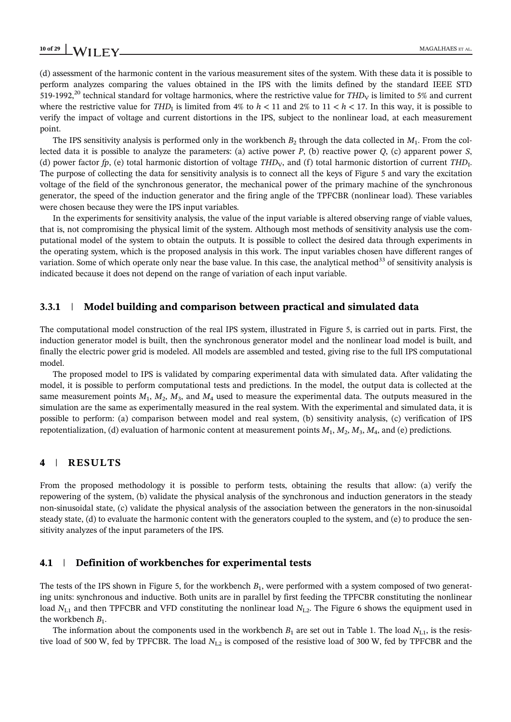# 10 of 29 MAGALHAES ET AL. MAGALHAES ET AL.

(d) assessment of the harmonic content in the various measurement sites of the system. With these data it is possible to perform analyzes comparing the values obtained in the IPS with the limits defined by the standard IEEE STD 519-1992,<sup>20</sup> technical standard for voltage harmonics, where the restrictive value for  $THD<sub>V</sub>$  is limited to 5% and current where the restrictive value for  $THD<sub>I</sub>$  is limited from 4% to  $h < 11$  and 2% to  $11 < h < 17$ . In this way, it is possible to verify the impact of voltage and current distortions in the IPS, subject to the nonlinear load, at each measurement point.

The IPS sensitivity analysis is performed only in the workbench  $B_2$  through the data collected in  $M_1$ . From the collected data it is possible to analyze the parameters: (a) active power  $P$ , (b) reactive power  $Q$ , (c) apparent power  $S$ , (d) power factor fp, (e) total harmonic distortion of voltage THD<sub>V</sub>, and (f) total harmonic distortion of current THD<sub>I</sub>. The purpose of collecting the data for sensitivity analysis is to connect all the keys of Figure 5 and vary the excitation voltage of the field of the synchronous generator, the mechanical power of the primary machine of the synchronous generator, the speed of the induction generator and the firing angle of the TPFCBR (nonlinear load). These variables were chosen because they were the IPS input variables.

In the experiments for sensitivity analysis, the value of the input variable is altered observing range of viable values, that is, not compromising the physical limit of the system. Although most methods of sensitivity analysis use the computational model of the system to obtain the outputs. It is possible to collect the desired data through experiments in the operating system, which is the proposed analysis in this work. The input variables chosen have different ranges of variation. Some of which operate only near the base value. In this case, the analytical method $33$  of sensitivity analysis is indicated because it does not depend on the range of variation of each input variable.

### 3.3.1 | Model building and comparison between practical and simulated data

The computational model construction of the real IPS system, illustrated in Figure 5, is carried out in parts. First, the induction generator model is built, then the synchronous generator model and the nonlinear load model is built, and finally the electric power grid is modeled. All models are assembled and tested, giving rise to the full IPS computational model.

The proposed model to IPS is validated by comparing experimental data with simulated data. After validating the model, it is possible to perform computational tests and predictions. In the model, the output data is collected at the same measurement points  $M_1$ ,  $M_2$ ,  $M_3$ , and  $M_4$  used to measure the experimental data. The outputs measured in the simulation are the same as experimentally measured in the real system. With the experimental and simulated data, it is possible to perform: (a) comparison between model and real system, (b) sensitivity analysis, (c) verification of IPS repotentialization, (d) evaluation of harmonic content at measurement points  $M_1$ ,  $M_2$ ,  $M_3$ ,  $M_4$ , and (e) predictions.

### 4 | RESULTS

From the proposed methodology it is possible to perform tests, obtaining the results that allow: (a) verify the repowering of the system, (b) validate the physical analysis of the synchronous and induction generators in the steady non-sinusoidal state, (c) validate the physical analysis of the association between the generators in the non-sinusoidal steady state, (d) to evaluate the harmonic content with the generators coupled to the system, and (e) to produce the sensitivity analyzes of the input parameters of the IPS.

### 4.1 | Definition of workbenches for experimental tests

The tests of the IPS shown in Figure 5, for the workbench  $B_1$ , were performed with a system composed of two generating units: synchronous and inductive. Both units are in parallel by first feeding the TPFCBR constituting the nonlinear load  $N_{L1}$  and then TPFCBR and VFD constituting the nonlinear load  $N_{L2}$ . The Figure 6 shows the equipment used in the workbench  $B_1$ .

The information about the components used in the workbench  $B_1$  are set out in Table 1. The load  $N_{L1}$ , is the resistive load of 500 W, fed by TPFCBR. The load  $N<sub>L2</sub>$  is composed of the resistive load of 300 W, fed by TPFCBR and the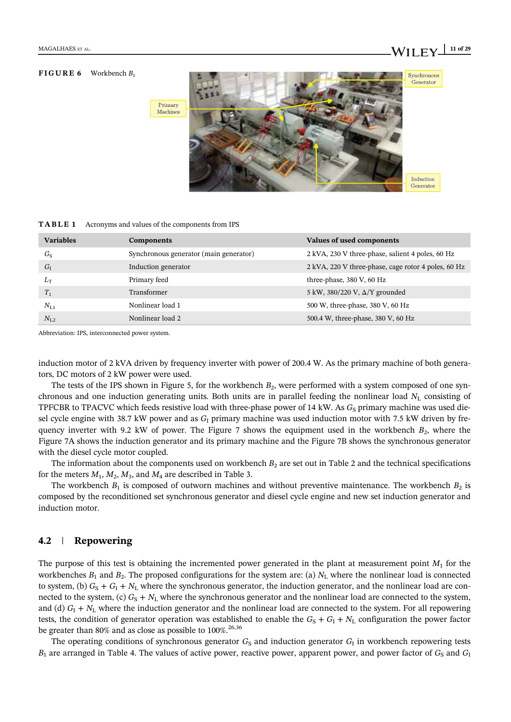#### **FIGURE 6** Workbench  $B_1$



TABLE 1 Acronyms and values of the components from IPS

| <b>Variables</b> | <b>Components</b>                      | <b>Values of used components</b>                    |
|------------------|----------------------------------------|-----------------------------------------------------|
| $G_{\rm S}$      | Synchronous generator (main generator) | 2 kVA, 230 V three-phase, salient 4 poles, 60 Hz    |
| G <sub>I</sub>   | Induction generator                    | 2 kVA, 220 V three-phase, cage rotor 4 poles, 60 Hz |
| $L_{\rm T}$      | Primary feed                           | three-phase, 380 V, 60 Hz                           |
| $T_1$            | <b>Transformer</b>                     | 5 kW, 380/220 V, Δ/Y grounded                       |
| $N_{L1}$         | Nonlinear load 1                       | 500 W, three-phase, 380 V, 60 Hz                    |
| $N_{L2}$         | Nonlinear load 2                       | 500.4 W, three-phase, 380 V, 60 Hz                  |

Abbreviation: IPS, interconnected power system.

induction motor of 2 kVA driven by frequency inverter with power of 200.4 W. As the primary machine of both generators, DC motors of 2 kW power were used.

The tests of the IPS shown in Figure 5, for the workbench  $B_2$ , were performed with a system composed of one synchronous and one induction generating units. Both units are in parallel feeding the nonlinear load  $N<sub>L</sub>$  consisting of TPFCBR to TPACVC which feeds resistive load with three-phase power of 14 kW. As  $G<sub>S</sub>$  primary machine was used diesel cycle engine with 38.7 kW power and as  $G<sub>I</sub>$  primary machine was used induction motor with 7.5 kW driven by frequency inverter with 9.2 kW of power. The Figure 7 shows the equipment used in the workbench  $B_2$ , where the Figure 7A shows the induction generator and its primary machine and the Figure 7B shows the synchronous generator with the diesel cycle motor coupled.

The information about the components used on workbench  $B_2$  are set out in Table 2 and the technical specifications for the meters  $M_1$ ,  $M_2$ ,  $M_3$ , and  $M_4$  are described in Table 3.

The workbench  $B_1$  is composed of outworn machines and without preventive maintenance. The workbench  $B_2$  is composed by the reconditioned set synchronous generator and diesel cycle engine and new set induction generator and induction motor.

### 4.2 | Repowering

The purpose of this test is obtaining the incremented power generated in the plant at measurement point  $M_1$  for the workbenches  $B_1$  and  $B_2$ . The proposed configurations for the system are: (a)  $N_L$  where the nonlinear load is connected to system, (b)  $G_S + G_I + N_L$  where the synchronous generator, the induction generator, and the nonlinear load are connected to the system, (c)  $G_S + N_L$  where the synchronous generator and the nonlinear load are connected to the system, and (d)  $G_I + N_L$  where the induction generator and the nonlinear load are connected to the system. For all repowering tests, the condition of generator operation was established to enable the  $G_S + G_I + N_L$  configuration the power factor be greater than 80% and as close as possible to 100%.<sup>26,36</sup>

The operating conditions of synchronous generator  $G_S$  and induction generator  $G_I$  in workbench repowering tests  $B_1$  are arranged in Table 4. The values of active power, reactive power, apparent power, and power factor of  $G_S$  and  $G_I$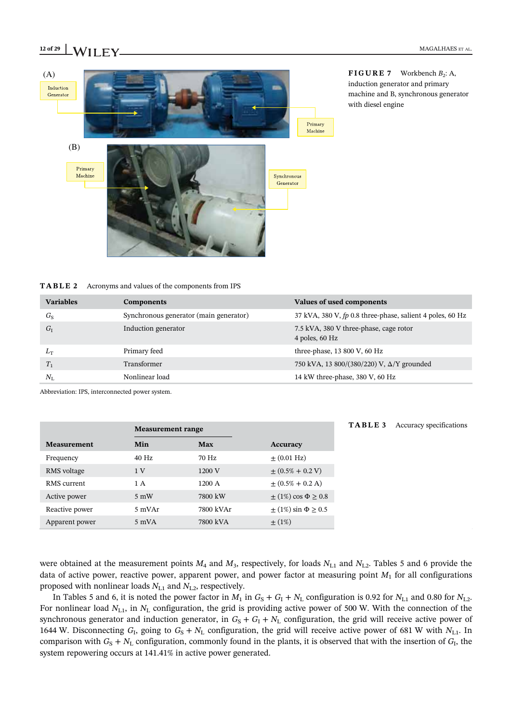## $\frac{12 \text{ of } 29 \text{ NAGALHAES ET AL.}}{$



**FIGURE 7** Workbench  $B_2$ : A, induction generator and primary machine and B, synchronous generator with diesel engine

TABLE 2 Acronyms and values of the components from IPS

| <b>Variables</b> | <b>Components</b>                      | <b>Values of used components</b>                          |
|------------------|----------------------------------------|-----------------------------------------------------------|
| $G_{\rm S}$      | Synchronous generator (main generator) | 37 kVA, 380 V, fp 0.8 three-phase, salient 4 poles, 60 Hz |
| G <sub>I</sub>   | Induction generator                    | 7.5 kVA, 380 V three-phase, cage rotor<br>4 poles, 60 Hz  |
| $L_{\rm T}$      | Primary feed                           | three-phase, 13 800 V, 60 Hz                              |
| $T_1$            | Transformer                            | 750 kVA, 13 800/(380/220) V, Δ/Y grounded                 |
| $N_{\rm L}$      | Nonlinear load                         | 14 kW three-phase, 380 V, 60 Hz                           |

Abbreviation: IPS, interconnected power system.

|                    | <b>Measurement range</b> |            |                                |
|--------------------|--------------------------|------------|--------------------------------|
| <b>Measurement</b> | Min                      | <b>Max</b> | Accuracy                       |
| Frequency          | $40$ Hz                  | 70 Hz      | $\pm$ (0.01 Hz)                |
| RMS voltage        | 1 <sub>V</sub>           | 1200 V     | $\pm (0.5\% + 0.2 \text{ V})$  |
| RMS current        | 1 A                      | 1200 A     | $\pm (0.5\% + 0.2 \text{ A})$  |
| Active power       | $5 \text{ mW}$           | 7800 kW    | $\pm$ (1%) cos $\Phi \geq 0.8$ |
| Reactive power     | 5 mVAr                   | 7800 kVAr  | $\pm$ (1%) sin $\Phi$ > 0.5    |
| Apparent power     | $5 \text{ mVA}$          | 7800 kVA   | $\pm(1\%)$                     |

TABLE 3 Accuracy specifications

were obtained at the measurement points  $M_4$  and  $M_3$ , respectively, for loads  $N_{L1}$  and  $N_{L2}$ . Tables 5 and 6 provide the data of active power, reactive power, apparent power, and power factor at measuring point  $M_1$  for all configurations proposed with nonlinear loads  $N<sub>L1</sub>$  and  $N<sub>L2</sub>$ , respectively.

In Tables 5 and 6, it is noted the power factor in  $M_1$  in  $G_S + G_I + N_L$  configuration is 0.92 for  $N_{L1}$  and 0.80 for  $N_{L2}$ . For nonlinear load  $N_{L1}$ , in  $N_L$  configuration, the grid is providing active power of 500 W. With the connection of the synchronous generator and induction generator, in  $G_S + G_I + N_L$  configuration, the grid will receive active power of 1644 W. Disconnecting  $G_I$ , going to  $G_S + N_L$  configuration, the grid will receive active power of 681 W with  $N_{L1}$ . In comparison with  $G_S + N_L$  configuration, commonly found in the plants, it is observed that with the insertion of  $G_I$ , the system repowering occurs at 141.41% in active power generated.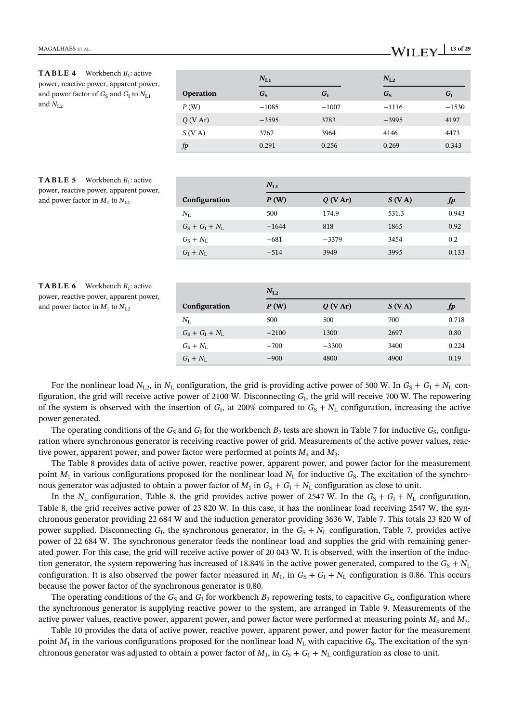| TABLE 4<br>Workbench $B_1$ : active<br>power, reactive power, apparent power,<br>and power factor of $G_s$ and $G_l$ to $N_{l,1}$<br>and $N_{L2}$ |                  | $N_{\rm L1}$ |         | $N_{L2}$ |         |  |
|---------------------------------------------------------------------------------------------------------------------------------------------------|------------------|--------------|---------|----------|---------|--|
|                                                                                                                                                   | <b>Operation</b> | $G_{\rm S}$  | $G_{I}$ | $G_{S}$  | $G_{I}$ |  |
|                                                                                                                                                   | P(W)             | $-1085$      | $-1007$ | $-1116$  | $-1530$ |  |
|                                                                                                                                                   | Q (V Ar)         | $-3595$      | 3783    | $-3995$  | 4197    |  |
|                                                                                                                                                   | S(VA)            | 3767         | 3964    | 4146     | 4473    |  |
|                                                                                                                                                   | fp               | 0.291        | 0.256   | 0.269    | 0.343   |  |
|                                                                                                                                                   |                  |              |         |          |         |  |
| TABLE 5<br>Workbench $B_1$ : active                                                                                                               |                  | $N_{\rm H}$  |         |          |         |  |

power, reactive power, apparent power, and power factor in  $M_1$  to  $N_{L1}$ 

|                                     | $N_{L1}$ |          |       |       |
|-------------------------------------|----------|----------|-------|-------|
| Configuration                       | P(W)     | Q (V Ar) | S(VA) | ĴР    |
| $N_{\rm L}$                         | 500      | 174.9    | 531.3 | 0.943 |
| $G_{\rm S} + G_{\rm I} + N_{\rm L}$ | $-1644$  | 818      | 1865  | 0.92  |
| $G_{\rm S}+N_{\rm L}$               | $-681$   | $-3379$  | 3454  | 0.2   |
| $G_{I} + N_{I}$                     | $-514$   | 3949     | 3995  | 0.133 |

**TABLE 6** Workbench  $B_1$ : active power, reactive power, apparent power, and power factor in  $M_1$  to  $N_{L2}$ 

|                         | $N_{L2}$ |          |       |       |
|-------------------------|----------|----------|-------|-------|
| Configuration           | P(W)     | Q (V Ar) | S(VA) | Ĵр    |
| $N_{\rm L}$             | 500      | 500      | 700   | 0.718 |
| $G_{S} + G_{I} + N_{L}$ | $-2100$  | 1300     | 2697  | 0.80  |
| $G_{\rm S}+N_{\rm L}$   | $-700$   | $-3300$  | 3400  | 0.224 |
| $G_{\rm I} + N_{\rm L}$ | $-900$   | 4800     | 4900  | 0.19  |

For the nonlinear load  $N_{L2}$ , in  $N_L$  configuration, the grid is providing active power of 500 W. In  $G_S + G_I + N_L$  configuration, the grid will receive active power of 2100 W. Disconnecting  $G_I$ , the grid will receive 700 W. The repowering of the system is observed with the insertion of  $G<sub>I</sub>$ , at 200% compared to  $G<sub>S</sub> + N<sub>L</sub>$  configuration, increasing the active power generated.

The operating conditions of the  $G_S$  and  $G_I$  for the workbench  $B_2$  tests are shown in Table 7 for inductive  $G_S$ , configuration where synchronous generator is receiving reactive power of grid. Measurements of the active power values, reactive power, apparent power, and power factor were performed at points  $M_4$  and  $M_3$ .

The Table 8 provides data of active power, reactive power, apparent power, and power factor for the measurement point  $M_1$  in various configurations proposed for the nonlinear load  $N_L$  for inductive  $G_S$ . The excitation of the synchronous generator was adjusted to obtain a power factor of  $M_1$  in  $G_S + G_I + N_L$  configuration as close to unit.

In the  $N_L$  configuration, Table 8, the grid provides active power of 2547 W. In the  $G_S + G_I + N_L$  configuration, Table 8, the grid receives active power of 23 820 W. In this case, it has the nonlinear load receiving 2547 W, the synchronous generator providing 22 684 W and the induction generator providing 3636 W, Table 7. This totals 23 820 W of power supplied. Disconnecting  $G_I$ , the synchronous generator, in the  $G_S + N_L$  configuration, Table 7, provides active power of 22 684 W. The synchronous generator feeds the nonlinear load and supplies the grid with remaining generated power. For this case, the grid will receive active power of 20 043 W. It is observed, with the insertion of the induction generator, the system repowering has increased of 18.84% in the active power generated, compared to the  $G_S + N_L$ configuration. It is also observed the power factor measured in  $M_1$ , in  $G_S + G_I + N_L$  configuration is 0.86. This occurs because the power factor of the synchronous generator is 0.80.

The operating conditions of the  $G_S$  and  $G_I$  for workbench  $B_2$  repowering tests, to capacitive  $G_S$ , configuration where the synchronous generator is supplying reactive power to the system, are arranged in Table 9. Measurements of the active power values, reactive power, apparent power, and power factor were performed at measuring points  $M_4$  and  $M_3$ .

Table 10 provides the data of active power, reactive power, apparent power, and power factor for the measurement point  $M_1$  in the various configurations proposed for the nonlinear load  $N_L$  with capacitive  $G_S$ . The excitation of the synchronous generator was adjusted to obtain a power factor of  $M_1$ , in  $G_S + G_I + N_L$  configuration as close to unit.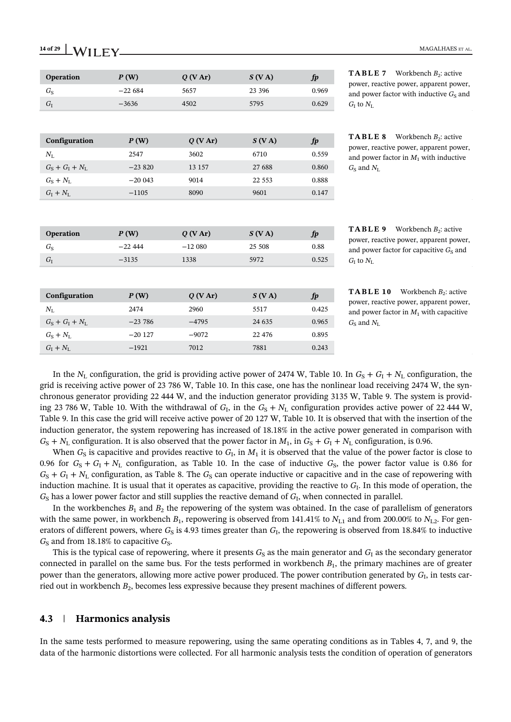### 14 of 29 WILEY MAGALHAES ET AL.

| Operation                           | P(W)     | $Q$ (V Ar) | S(VA)    | $\boldsymbol{fp}$ | <b>TABLI</b>               |
|-------------------------------------|----------|------------|----------|-------------------|----------------------------|
| $G_{\rm S}$                         | $-22684$ | 5657       | 23 39 6  | 0.969             | power, re<br>and pow       |
| G <sub>I</sub>                      | $-3636$  | 4502       | 5795     | 0.629             | $G_{\rm I}$ to $N_{\rm L}$ |
|                                     |          |            |          |                   |                            |
|                                     |          |            |          |                   | <b>TABLI</b>               |
| Configuration                       | P(W)     | Q (V Ar)   | S(VA)    | $\boldsymbol{fp}$ | power, re                  |
| $N_{\rm L}$                         | 2547     | 3602       | 6710     | 0.559             | and powe                   |
| $G_{\rm S} + G_{\rm I} + N_{\rm L}$ | $-23820$ | 13 157     | 27 688   | 0.860             | $GS$ and N                 |
| $G_{\rm S}+N_{\rm L}$               | $-20043$ | 9014       | 22 5 5 3 | 0.888             |                            |
| $G_{\rm I}+N_{\rm L}$               | $-1105$  | 8090       | 9601     | 0.147             |                            |
|                                     |          |            |          |                   |                            |
|                                     |          |            |          |                   |                            |
| Operation                           | P(W)     | Q (V Ar)   | S(VA)    | $\boldsymbol{fp}$ | <b>TABLI</b>               |
| $G_{\rm S}$                         | $-22444$ | $-12080$   | 25 508   | 0.88              | power, re<br>and powe      |
| $G_{\rm I}$                         | $-3135$  | 1338       | 5972     | 0.525             | $G_I$ to $N_I$ .           |
|                                     |          |            |          |                   |                            |
|                                     |          |            |          |                   | <b>TABLI</b>               |
| Configuration                       | P(W)     | Q (V Ar)   | S(VA)    | $\boldsymbol{fp}$ | power, re                  |
| $N_{\rm L}$                         | 2474     | 2960       | 5517     | 0.425             | and powe                   |
| $G_{\rm S} + G_{\rm I} + N_{\rm L}$ | $-23786$ | $-4795$    | 24 635   | 0.965             | $G_S$ and $N$              |
| $G_{\rm S}+N_{\rm L}$               | $-20127$ | $-9072$    | 22 476   | 0.895             |                            |

 $G_I + N_L$  –1921 7012 7881 0.243

E 7 Workbench  $B_2$ : active eactive power, apparent power, er factor with inductive  $G<sub>S</sub>$  and

E 8 Workbench  $B_2$ : active eactive power, apparent power, er factor in  $M_1$  with inductive  $G<sub>S</sub>$  and  $N<sub>L</sub>$ 

**E 9** Workbench  $B_2$ : active eactive power, apparent power, er factor for capacitive  $G<sub>S</sub>$  and

**E 10** Workbench  $B_2$ : active eactive power, apparent power, er factor in  $M_1$  with capacitive  $G<sub>S</sub>$  and  $N<sub>L</sub>$ 

In the N<sub>L</sub> configuration, the grid is providing active power of 2474 W, Table 10. In  $G_S + G_I + N_L$  configuration, the grid is receiving active power of 23 786 W, Table 10. In this case, one has the nonlinear load receiving 2474 W, the synchronous generator providing 22 444 W, and the induction generator providing 3135 W, Table 9. The system is providing 23 786 W, Table 10. With the withdrawal of  $G<sub>I</sub>$ , in the  $G<sub>S</sub> + N<sub>L</sub>$  configuration provides active power of 22 444 W, Table 9. In this case the grid will receive active power of 20 127 W, Table 10. It is observed that with the insertion of the induction generator, the system repowering has increased of 18.18% in the active power generated in comparison with  $G_S + N_L$  configuration. It is also observed that the power factor in  $M_1$ , in  $G_S + G_I + N_L$  configuration, is 0.96.

When  $G_S$  is capacitive and provides reactive to  $G_I$ , in  $M_1$  it is observed that the value of the power factor is close to 0.96 for  $G_S + G_I + N_L$  configuration, as Table 10. In the case of inductive  $G_S$ , the power factor value is 0.86 for  $G<sub>S</sub> + G<sub>I</sub> + N<sub>L</sub>$  configuration, as Table 8. The  $G<sub>S</sub>$  can operate inductive or capacitive and in the case of repowering with induction machine. It is usual that it operates as capacitive, providing the reactive to  $G<sub>I</sub>$ . In this mode of operation, the  $G<sub>S</sub>$  has a lower power factor and still supplies the reactive demand of  $G<sub>I</sub>$ , when connected in parallel.

In the workbenches  $B_1$  and  $B_2$  the repowering of the system was obtained. In the case of parallelism of generators with the same power, in workbench  $B_1$ , repowering is observed from 141.41% to  $N_{L1}$  and from 200.00% to  $N_{L2}$ . For generators of different powers, where  $G_S$  is 4.93 times greater than  $G_I$ , the repowering is observed from 18.84% to inductive  $G<sub>S</sub>$  and from 18.18% to capacitive  $G<sub>S</sub>$ .

This is the typical case of repowering, where it presents  $G_S$  as the main generator and  $G_I$  as the secondary generator connected in parallel on the same bus. For the tests performed in workbench  $B_1$ , the primary machines are of greater power than the generators, allowing more active power produced. The power contribution generated by  $G<sub>I</sub>$ , in tests carried out in workbench  $B_2$ , becomes less expressive because they present machines of different powers.

### 4.3 | Harmonics analysis

In the same tests performed to measure repowering, using the same operating conditions as in Tables 4, 7, and 9, the data of the harmonic distortions were collected. For all harmonic analysis tests the condition of operation of generators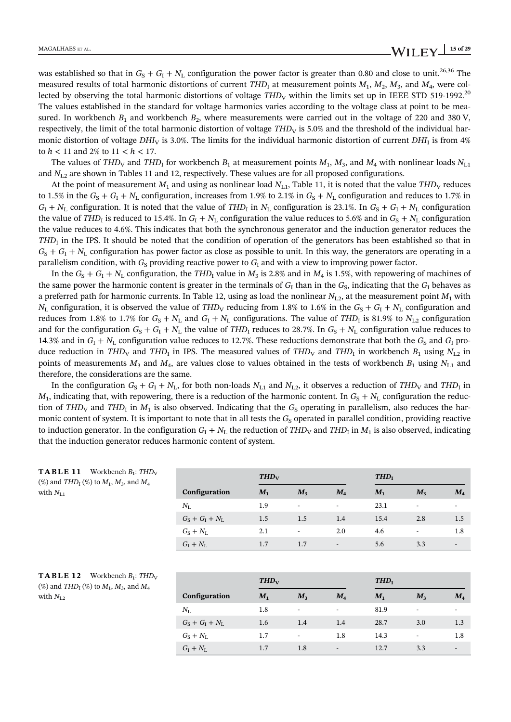was established so that in  $G_S + G_I + N_L$  configuration the power factor is greater than 0.80 and close to unit.<sup>26,36</sup> The measured results of total harmonic distortions of current THD<sub>I</sub> at measurement points  $M_1$ ,  $M_2$ ,  $M_3$ , and  $M_4$ , were collected by observing the total harmonic distortions of voltage  $THD<sub>V</sub>$  within the limits set up in IEEE STD 519-1992.<sup>20</sup> The values established in the standard for voltage harmonics varies according to the voltage class at point to be measured. In workbench  $B_1$  and workbench  $B_2$ , where measurements were carried out in the voltage of 220 and 380 V, respectively, the limit of the total harmonic distortion of voltage  $THD<sub>V</sub>$  is 5.0% and the threshold of the individual harmonic distortion of voltage  $DHI_V$  is 3.0%. The limits for the individual harmonic distortion of current  $DHI_I$  is from 4% to  $h < 11$  and 2% to  $11 < h < 17$ .

The values of THD<sub>V</sub> and THD<sub>I</sub> for workbench  $B_1$  at measurement points  $M_1$ ,  $M_3$ , and  $M_4$  with nonlinear loads  $N_{L1}$ and  $N<sub>L2</sub>$  are shown in Tables 11 and 12, respectively. These values are for all proposed configurations.

At the point of measurement  $M_1$  and using as nonlinear load  $N_{L1}$ , Table 11, it is noted that the value THD<sub>V</sub> reduces to 1.5% in the  $G_S + G_I + N_L$  configuration, increases from 1.9% to 2.1% in  $G_S + N_L$  configuration and reduces to 1.7% in  $G_I + N_L$  configuration. It is noted that the value of THD<sub>I</sub> in  $N_L$  configuration is 23.1%. In  $G_S + G_I + N_L$  configuration the value of THD<sub>I</sub> is reduced to 15.4%. In  $G_I + N_L$  configuration the value reduces to 5.6% and in  $G_S + N_L$  configuration the value reduces to 4.6%. This indicates that both the synchronous generator and the induction generator reduces the  $THD<sub>I</sub>$  in the IPS. It should be noted that the condition of operation of the generators has been established so that in  $G<sub>S</sub> + G<sub>I</sub> + N<sub>L</sub>$  configuration has power factor as close as possible to unit. In this way, the generators are operating in a parallelism condition, with  $G<sub>S</sub>$  providing reactive power to  $G<sub>I</sub>$  and with a view to improving power factor.

In the  $G_S + G_I + N_L$  configuration, the THD<sub>I</sub> value in  $M_3$  is 2.8% and in  $M_4$  is 1.5%, with repowering of machines of the same power the harmonic content is greater in the terminals of  $G<sub>I</sub>$  than in the  $G<sub>S</sub>$ , indicating that the  $G<sub>I</sub>$  behaves as a preferred path for harmonic currents. In Table 12, using as load the nonlinear  $N_{1,2}$ , at the measurement point  $M_1$  with  $N_L$  configuration, it is observed the value of THD<sub>V</sub> reducing from 1.8% to 1.6% in the  $G_S + G_I + N_L$  configuration and reduces from 1.8% to 1.7% for  $G_S + N_L$  and  $G_I + N_L$  configurations. The value of THD<sub>I</sub> is 81.9% to  $N_{L2}$  configuration and for the configuration  $G_S + G_I + N_L$  the value of THD<sub>I</sub> reduces to 28.7%. In  $G_S + N_L$  configuration value reduces to 14.3% and in  $G_I + N_L$  configuration value reduces to 12.7%. These reductions demonstrate that both the  $G_S$  and  $G_I$  produce reduction in THD<sub>V</sub> and THD<sub>I</sub> in IPS. The measured values of THD<sub>V</sub> and THD<sub>I</sub> in workbench  $B_1$  using  $N_{1,2}$  in points of measurements  $M_3$  and  $M_4$ , are values close to values obtained in the tests of workbench  $B_1$  using  $N_{L1}$  and therefore, the considerations are the same.

In the configuration  $G_S + G_I + N_L$ , for both non-loads  $N_{L1}$  and  $N_{L2}$ , it observes a reduction of THD<sub>V</sub> and THD<sub>I</sub> in  $M_1$ , indicating that, with repowering, there is a reduction of the harmonic content. In  $G_S + N_L$  configuration the reduction of THD<sub>V</sub> and THD<sub>I</sub> in  $M_1$  is also observed. Indicating that the  $G<sub>S</sub>$  operating in parallelism, also reduces the harmonic content of system. It is important to note that in all tests the  $G<sub>S</sub>$  operated in parallel condition, providing reactive to induction generator. In the configuration  $G_I + N_L$  the reduction of  $THD_V$  and  $THD_I$  in  $M_1$  is also observed, indicating that the induction generator reduces harmonic content of system.

| TABLE 11<br>Workbench $B_1$ : THD <sub>V</sub><br>(%) and $THDI$ (%) to $M1$ , $M3$ , and $M4$ | $THD_V$                             |       |                          |                          | THD <sub>T</sub> |                          |                          |  |
|------------------------------------------------------------------------------------------------|-------------------------------------|-------|--------------------------|--------------------------|------------------|--------------------------|--------------------------|--|
| with $N_{L1}$                                                                                  | Configuration                       | $M_1$ | $M_3$                    | $M_4$                    | $M_1$            | $M_{\rm R}$              | $M_4$                    |  |
|                                                                                                | $N_{\rm L}$                         | 1.9   | $\overline{\phantom{a}}$ | $\sim$                   | 23.1             | $\overline{\phantom{a}}$ | $\overline{\phantom{a}}$ |  |
|                                                                                                | $G_{\rm S} + G_{\rm I} + N_{\rm L}$ | 1.5   | 1.5                      | 1.4                      | 15.4             | 2.8                      | 1.5                      |  |
|                                                                                                | $G_{\rm S}+N_{\rm L}$               | 2.1   |                          | 2.0                      | 4.6              | $\overline{\phantom{a}}$ | 1.8                      |  |
|                                                                                                | $G_{I} + N_{I}$                     | 1.7   | 1.7                      | $\overline{\phantom{a}}$ | 5.6              | 3.3                      | $\overline{\phantom{a}}$ |  |
|                                                                                                |                                     |       |                          |                          |                  |                          |                          |  |

| TABLE <sub>12</sub> | Workbench $B_1$ : THD <sub>V</sub>               |
|---------------------|--------------------------------------------------|
|                     | (%) and $THD_1$ (%) to $M_1$ , $M_3$ , and $M_4$ |
| with $N_{\rm L2}$   |                                                  |

| $THD_V$                             |       |         |                          | THD <sub>I</sub> |                          |                          |
|-------------------------------------|-------|---------|--------------------------|------------------|--------------------------|--------------------------|
| Configuration                       | $M_1$ | $M_{3}$ | $M_{4}$                  | $M_1$            | $M_{\rm R}$              | $M_{4}$                  |
| $N_{\rm L}$                         | 1.8   | ۰       | $\overline{\phantom{a}}$ | 81.9             | ۰                        | $\overline{\phantom{a}}$ |
| $G_{\rm S} + G_{\rm I} + N_{\rm L}$ | 1.6   | 1.4     | 1.4                      | 28.7             | 3.0                      | 1.3                      |
| $G_{\rm S}+N_{\rm L}$               | 1.7   |         | 1.8                      | 14.3             | $\overline{\phantom{a}}$ | 1.8                      |
| $G_{I} + N_{I}$                     | 1.7   | 1.8     | -                        | 12.7             | 3.3                      | -                        |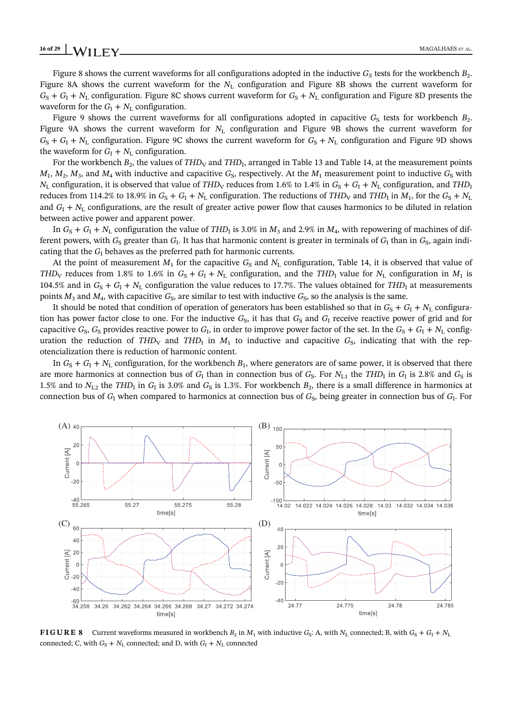### 16 of 29 WILEY MAGALHAES ET AL.

Figure 8 shows the current waveforms for all configurations adopted in the inductive  $G_S$  tests for the workbench  $B_2$ . Figure 8A shows the current waveform for the  $N_L$  configuration and Figure 8B shows the current waveform for  $G_S + G_I + N_L$  configuration. Figure 8C shows current waveform for  $G_S + N_L$  configuration and Figure 8D presents the waveform for the  $G_I + N_L$  configuration.

Figure 9 shows the current waveforms for all configurations adopted in capacitive  $G<sub>S</sub>$  tests for workbench  $B<sub>2</sub>$ . Figure 9A shows the current waveform for  $N_L$  configuration and Figure 9B shows the current waveform for  $G_S + G_I + N_L$  configuration. Figure 9C shows the current waveform for  $G_S + N_L$  configuration and Figure 9D shows the waveform for  $G_I + N_L$  configuration.

For the workbench  $B_2$ , the values of THD<sub>V</sub> and THD<sub>I</sub>, arranged in Table 13 and Table 14, at the measurement points  $M_1, M_2, M_3$ , and  $M_4$  with inductive and capacitive  $G_S$ , respectively. At the  $M_1$  measurement point to inductive  $G_S$  with  $N_L$  configuration, it is observed that value of THD<sub>V</sub> reduces from 1.6% to 1.4% in  $G_S + G_I + N_L$  configuration, and THD<sub>I</sub> reduces from 114.2% to 18.9% in  $G_S + G_I + N_L$  configuration. The reductions of  $THD_V$  and  $THD_I$  in  $M_1$ , for the  $G_S + N_L$ and  $G_I + N_L$  configurations, are the result of greater active power flow that causes harmonics to be diluted in relation between active power and apparent power.

In  $G_S + G_I + N_L$  configuration the value of THD<sub>I</sub> is 3.0% in  $M_3$  and 2.9% in  $M_4$ , with repowering of machines of different powers, with  $G_S$  greater than  $G_I$ . It has that harmonic content is greater in terminals of  $G_I$  than in  $G_S$ , again indicating that the  $G_I$  behaves as the preferred path for harmonic currents.

At the point of measurement  $M_1$  for the capacitive  $G_S$  and  $N_L$  configuration, Table 14, it is observed that value of THD<sub>V</sub> reduces from 1.8% to 1.6% in  $G_S + G_I + N_L$  configuration, and the THD<sub>I</sub> value for  $N_L$  configuration in  $M_1$  is 104.5% and in  $G_S + G_I + N_L$  configuration the value reduces to 17.7%. The values obtained for THD<sub>I</sub> at measurements points  $M_3$  and  $M_4$ , with capacitive  $G_S$ , are similar to test with inductive  $G_S$ , so the analysis is the same.

It should be noted that condition of operation of generators has been established so that in  $G_S + G_I + N_L$  configuration has power factor close to one. For the inductive  $G<sub>S</sub>$ , it has that  $G<sub>S</sub>$  and  $G<sub>I</sub>$  receive reactive power of grid and for capacitive  $G_S$ ,  $G_S$  provides reactive power to  $G_I$ , in order to improve power factor of the set. In the  $G_S + G_I + N_L$  configuration the reduction of THD<sub>V</sub> and THD<sub>I</sub> in  $M_1$  to inductive and capacitive  $G<sub>S</sub>$ , indicating that with the repotencialization there is reduction of harmonic content.

In  $G_S + G_I + N_L$  configuration, for the workbench  $B_I$ , where generators are of same power, it is observed that there are more harmonics at connection bus of  $G_I$  than in connection bus of  $G_S$ . For  $N_{L1}$  the THD<sub>I</sub> in  $G_I$  is 2.8% and  $G_S$  is 1.5% and to  $N_{L2}$  the THD<sub>I</sub> in G<sub>I</sub> is 3.0% and G<sub>S</sub> is 1.3%. For workbench B<sub>2</sub>, there is a small difference in harmonics at connection bus of  $G_I$  when compared to harmonics at connection bus of  $G_S$ , being greater in connection bus of  $G_I$ . For



**FIGURE 8** Current waveforms measured in workbench  $B_2$  in  $M_1$  with inductive  $G_S$ : A, with  $N_L$  connected; B, with  $G_S + G_I + N_L$ connected; C, with  $G_S + N_L$  connected; and D, with  $G_I + N_L$  connected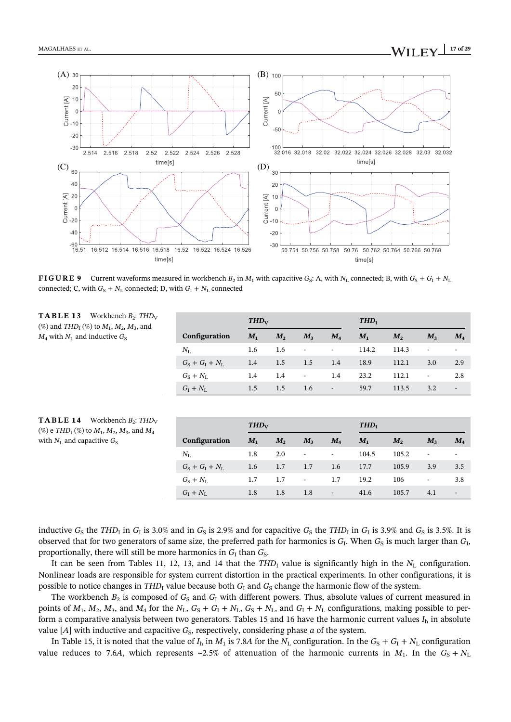

**FIGURE 9** Current waveforms measured in workbench  $B_2$  in  $M_1$  with capacitive  $G_S$ : A, with  $N_L$  connected; B, with  $G_S + G_I + N_L$ connected; C, with  $G_S + N_L$  connected; D, with  $G_I + N_L$  connected

| TABLE <sub>13</sub><br>Workbench $B_2$ : THD <sub>V</sub><br>(%) and $THD_1$ (%) to $M_1$ , $M_2$ , $M_3$ , and | $THD_V$                             |       |         |                          |                          | THD <sub>T</sub> |         |                          |                          |  |
|-----------------------------------------------------------------------------------------------------------------|-------------------------------------|-------|---------|--------------------------|--------------------------|------------------|---------|--------------------------|--------------------------|--|
| $M_4$ with $N_L$ and inductive $G_S$                                                                            | Configuration                       | $M_1$ | $M_{2}$ | $M_3$                    | $M_4$                    | $M_1$            | $M_{2}$ | $M_{\rm{2}}$             | $M_4$                    |  |
|                                                                                                                 | $N_{\rm L}$                         | 1.6   | 1.6     | $\overline{\phantom{a}}$ | ۰.                       | 114.2            | 114.3   | $\overline{\phantom{a}}$ | $\overline{\phantom{a}}$ |  |
|                                                                                                                 | $G_{\rm S} + G_{\rm I} + N_{\rm L}$ | 1.4   | 1.5     | 1.5                      | 1.4                      | 18.9             | 112.1   | 3.0                      | 2.9                      |  |
|                                                                                                                 | $G_{\rm S}+N_{\rm L}$               | 1.4   | 1.4     | $\overline{\phantom{a}}$ | 1.4                      | 23.2             | 112.1   | $\overline{\phantom{a}}$ | 2.8                      |  |
|                                                                                                                 | $G_{\rm I}+N_{\rm L}$               | 1.5   | 1.5     | 1.6                      | $\overline{\phantom{a}}$ | 59.7             | 113.5   | 3.2                      | $\overline{\phantom{a}}$ |  |
|                                                                                                                 |                                     |       |         |                          |                          |                  |         |                          |                          |  |

| TABLE 14<br>Workbench $B_2$ : THD <sub>V</sub><br>(%) e THD <sub>I</sub> (%) to $M_1, M_2, M_3$ , and $M_4$ |                                     | $THD_V$ |                |                          | THD <sub>T</sub>         |       |         |                          |                          |
|-------------------------------------------------------------------------------------------------------------|-------------------------------------|---------|----------------|--------------------------|--------------------------|-------|---------|--------------------------|--------------------------|
| with $N_{\rm L}$ and capacitive $G_{\rm S}$                                                                 | Configuration                       | $M_1$   | M <sub>2</sub> | $M_3$                    | $M_4$                    | $M_1$ | $M_{2}$ | $M_3$                    | $M_{4}$                  |
|                                                                                                             | $N_{\rm L}$                         | 1.8     | 2.0            | $\overline{\phantom{a}}$ | ۰.                       | 104.5 | 105.2   | $\overline{\phantom{a}}$ | $\overline{\phantom{a}}$ |
|                                                                                                             | $G_{\rm S} + G_{\rm I} + N_{\rm L}$ | 1.6     | 1.7            | 1.7                      | 1.6                      | 17.7  | 105.9   | 3.9                      | 3.5                      |
|                                                                                                             | $G_{\rm S}+N_{\rm L}$               | 1.7     | 1.7            | $\overline{\phantom{a}}$ | 1.7                      | 19.2  | 106     | $\overline{\phantom{a}}$ | 3.8                      |
|                                                                                                             | $G_{\rm I} + N_{\rm L}$             | 1.8     | 1.8            | 1.8                      | $\overline{\phantom{a}}$ | 41.6  | 105.7   | 4.1                      | $\overline{\phantom{a}}$ |

inductive  $G_S$  the THD<sub>I</sub> in  $G_I$  is 3.0% and in  $G_S$  is 2.9% and for capacitive  $G_S$  the THD<sub>I</sub> in  $G_I$  is 3.9% and  $G_S$  is 3.5%. It is observed that for two generators of same size, the preferred path for harmonics is  $G<sub>I</sub>$ . When  $G<sub>S</sub>$  is much larger than  $G<sub>I</sub>$ , proportionally, there will still be more harmonics in  $G<sub>I</sub>$  than  $G<sub>S</sub>$ .

It can be seen from Tables 11, 12, 13, and 14 that the  $THD<sub>I</sub>$  value is significantly high in the  $N<sub>L</sub>$  configuration. Nonlinear loads are responsible for system current distortion in the practical experiments. In other configurations, it is possible to notice changes in  $THD<sub>I</sub>$  value because both  $G<sub>I</sub>$  and  $G<sub>S</sub>$  change the harmonic flow of the system.

The workbench  $B_2$  is composed of  $G_S$  and  $G_I$  with different powers. Thus, absolute values of current measured in points of  $M_1$ ,  $M_2$ ,  $M_3$ , and  $M_4$  for the  $N_L$ ,  $G_S + G_I + N_L$ ,  $G_S + N_L$ , and  $G_I + N_L$  configurations, making possible to perform a comparative analysis between two generators. Tables 15 and 16 have the harmonic current values  $I_h$  in absolute value [A] with inductive and capacitive  $G_S$ , respectively, considering phase  $a$  of the system.

In Table 15, it is noted that the value of  $I_h$  in  $M_1$  is 7.8A for the  $N_L$  configuration. In the  $G_S + G_I + N_L$  configuration value reduces to 7.6A, which represents ~2.5% of attenuation of the harmonic currents in  $M_1$ . In the  $G_S + N_L$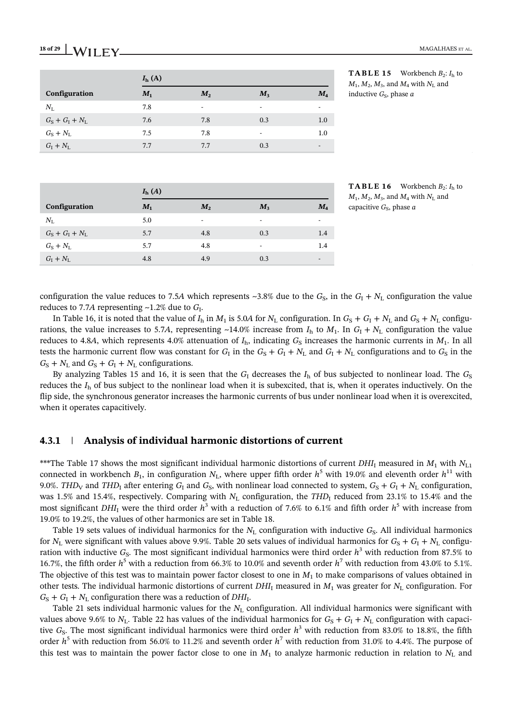### 18 of 29 WILEY MAGALHAES ET AL.

|                                     | $I_{\rm h}$ (A) |                          |                          |                          |  |  |
|-------------------------------------|-----------------|--------------------------|--------------------------|--------------------------|--|--|
| Configuration                       | $M_1$           | $M_{2}$                  | $M_{3}$                  | $M_{4}$                  |  |  |
| $N_{\rm L}$                         | 7.8             | $\overline{\phantom{a}}$ | $\overline{\phantom{0}}$ | $\overline{\phantom{a}}$ |  |  |
| $G_{\rm S} + G_{\rm I} + N_{\rm L}$ | 7.6             | 7.8                      | 0.3                      | 1.0                      |  |  |
| $G_{\rm S}+N_{\rm L}$               | 7.5             | 7.8                      | ۰                        | 1.0                      |  |  |
| $G_{\rm I}+N_{\rm L}$               | 7.7             | 7.7                      | 0.3                      | $\overline{\phantom{a}}$ |  |  |

**TABLE 15** Workbench  $B_2$ :  $I_h$  to  $M_1, M_2, M_3$ , and  $M_4$  with  $N_L$  and inductive  $G<sub>S</sub>$ , phase  $a$ 

|                                     | $I_{h}(A)$ |         |         |                          |  |  |  |
|-------------------------------------|------------|---------|---------|--------------------------|--|--|--|
| Configuration                       | $M_1$      | $M_{2}$ | $M_{3}$ | $M_{4}$                  |  |  |  |
| $N_{\rm L}$                         | 5.0        | ۰       | ۰       | ۰                        |  |  |  |
| $G_{\rm S} + G_{\rm I} + N_{\rm L}$ | 5.7        | 4.8     | 0.3     | 1.4                      |  |  |  |
| $G_{\rm S}+N_{\rm L}$               | 5.7        | 4.8     | ۰       | 1.4                      |  |  |  |
| $G_{\rm I}+N_{\rm L}$               | 4.8        | 4.9     | 0.3     | $\overline{\phantom{a}}$ |  |  |  |

**TABLE 16** Workbench  $B_2$ :  $I_h$  to  $M_1$ ,  $M_2$ ,  $M_3$ , and  $M_4$  with  $N_L$  and capacitive  $G<sub>S</sub>$ , phase a

configuration the value reduces to 7.5A which represents ~3.8% due to the  $G<sub>S</sub>$ , in the  $G<sub>I</sub> + N<sub>L</sub>$  configuration the value reduces to 7.7A representing  $\sim$ 1.2% due to  $G<sub>I</sub>$ .

In Table 16, it is noted that the value of  $I_h$  in  $M_1$  is 5.0A for  $N_L$  configuration. In  $G_S + G_I + N_L$  and  $G_S + N_L$  configurations, the value increases to 5.7A, representing ~14.0% increase from  $I_h$  to  $M_1$ . In  $G_I + N_L$  configuration the value reduces to 4.8A, which represents 4.0% attenuation of  $I<sub>h</sub>$ , indicating  $G<sub>S</sub>$  increases the harmonic currents in  $M<sub>1</sub>$ . In all tests the harmonic current flow was constant for  $G_I$  in the  $G_S + G_I + N_L$  and  $G_I + N_L$  configurations and to  $G_S$  in the  $G<sub>S</sub> + N<sub>L</sub>$  and  $G<sub>S</sub> + G<sub>I</sub> + N<sub>L</sub>$  configurations.

By analyzing Tables 15 and 16, it is seen that the  $G<sub>I</sub>$  decreases the  $I<sub>h</sub>$  of bus subjected to nonlinear load. The  $G<sub>S</sub>$ reduces the  $I_h$  of bus subject to the nonlinear load when it is subexcited, that is, when it operates inductively. On the flip side, the synchronous generator increases the harmonic currents of bus under nonlinear load when it is overexcited, when it operates capacitively.

### 4.3.1 | Analysis of individual harmonic distortions of current

\*\*\*The Table 17 shows the most significant individual harmonic distortions of current  $DHI_1$  measured in  $M_1$  with  $N_{1,1}$ connected in workbench  $B_1$ , in configuration  $N_L$ , where upper fifth order  $h^5$  with 19.0% and eleventh order  $h^{11}$  with 9.0%. THD<sub>V</sub> and THD<sub>I</sub> after entering G<sub>I</sub> and G<sub>S</sub>, with nonlinear load connected to system,  $G_S + G_I + N_L$  configuration, was 1.5% and 15.4%, respectively. Comparing with  $N_L$  configuration, the THD<sub>I</sub> reduced from 23.1% to 15.4% and the most significant DHI<sub>I</sub> were the third order  $h^3$  with a reduction of 7.6% to 6.1% and fifth order  $h^5$  with increase from 19.0% to 19.2%, the values of other harmonics are set in Table 18.

Table 19 sets values of individual harmonics for the  $N_L$  configuration with inductive  $G_S$ . All individual harmonics for  $N_L$  were significant with values above 9.9%. Table 20 sets values of individual harmonics for  $G_S + G_I + N_L$  configuration with inductive  $G_S$ . The most significant individual harmonics were third order  $h^3$  with reduction from 87.5% to 16.7%, the fifth order  $h^5$  with a reduction from 66.3% to 10.0% and seventh order  $h^7$  with reduction from 43.0% to 5.1%. The objective of this test was to maintain power factor closest to one in  $M_1$  to make comparisons of values obtained in other tests. The individual harmonic distortions of current  $DHI<sub>I</sub>$  measured in  $M<sub>1</sub>$  was greater for  $N<sub>L</sub>$  configuration. For  $G<sub>S</sub> + G<sub>I</sub> + N<sub>L</sub>$  configuration there was a reduction of DHI<sub>I</sub>.

Table 21 sets individual harmonic values for the  $N<sub>L</sub>$  configuration. All individual harmonics were significant with values above 9.6% to  $N_L$ . Table 22 has values of the individual harmonics for  $G_S + G_I + N_L$  configuration with capacitive  $G_S$ . The most significant individual harmonics were third order  $h^3$  with reduction from 83.0% to 18.8%, the fifth order  $h^5$  with reduction from 56.0% to 11.2% and seventh order  $h^7$  with reduction from 31.0% to 4.4%. The purpose of this test was to maintain the power factor close to one in  $M_1$  to analyze harmonic reduction in relation to  $N_L$  and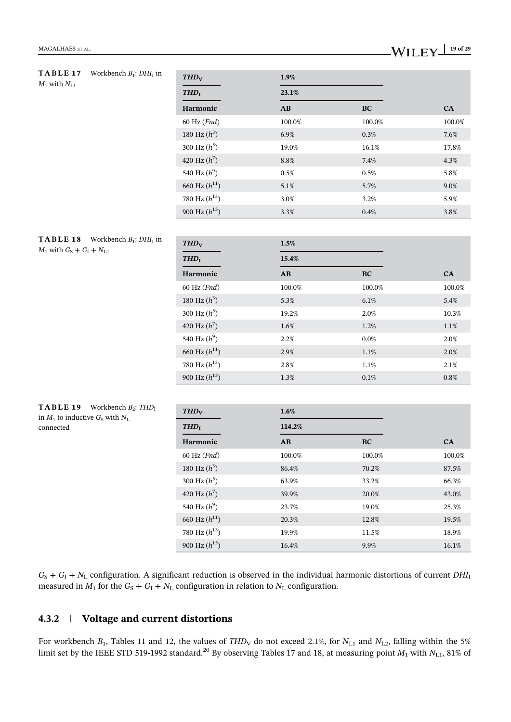| <b>TABLE 17</b> Workbench $B_1$ : <i>DHI</i> <sub>I</sub> in                                 | $THD_V$                | 1.9%      |           |            |  |
|----------------------------------------------------------------------------------------------|------------------------|-----------|-----------|------------|--|
| $M_1$ with $N_{L1}$                                                                          | THD <sub>I</sub>       | 23.1%     |           |            |  |
|                                                                                              | Harmonic               | AB        | <b>BC</b> | CA         |  |
|                                                                                              | 60 Hz (Fnd)            | $100.0\%$ | $100.0\%$ | 100.0%     |  |
|                                                                                              | 180 Hz $(h^3)$         | $6.9\%$   | $0.3\%$   | $7.6\%$    |  |
|                                                                                              | 300 Hz $(h^5)$         | 19.0%     | $16.1\%$  | 17.8%      |  |
|                                                                                              | 420 Hz $(h^7)$         | $8.8\%$   | $7.4\%$   | $4.3\%$    |  |
|                                                                                              | 540 Hz $(h^9)$         | $0.5\%$   | $0.5\%$   | 5.8%       |  |
|                                                                                              | 660 Hz $(h^{11})$      | $5.1\%$   | $5.7\%$   | $9.0\%$    |  |
|                                                                                              | 780 Hz $(h^{13})$      | $3.0\%$   | $3.2\%$   | $5.9\%$    |  |
|                                                                                              | 900 Hz $(h^{15})$      | $3.3\%$   | $0.4\%$   | $3.8\%$    |  |
|                                                                                              |                        |           |           |            |  |
| <b>TABLE 18</b> Workbench $B_1$ : DHI <sub>I</sub> in                                        | <b>THD<sub>V</sub></b> | $1.5\%$   |           |            |  |
| $M_1$ with $G_S + G_I + N_{L1}$                                                              | THD <sub>I</sub>       | 15.4%     |           |            |  |
|                                                                                              | Harmonic               | AB        | BC        | ${\bf CA}$ |  |
|                                                                                              | 60 Hz (Fnd)            | 100.0%    | 100.0%    | $100.0\%$  |  |
|                                                                                              | 180 Hz $(h^3)$         | $5.3\%$   | $6.1\%$   | $5.4\%$    |  |
|                                                                                              | 300 Hz $(h^5)$         | 19.2%     | $2.0\%$   | 10.3%      |  |
|                                                                                              | 420 Hz $(h^7)$         | $1.6\%$   | $1.2\%$   | $1.1\%$    |  |
|                                                                                              | 540 Hz $(h^9)$         | 2.2%      | $0.0\%$   | 2.0%       |  |
|                                                                                              | 660 Hz $(h^{11})$      | $2.9\%$   | $1.1\%$   | $2.0\%$    |  |
|                                                                                              | 780 Hz $(h^{13})$      | $2.8\%$   | $1.1\%$   | 2.1%       |  |
|                                                                                              | 900 Hz $(h^{15})$      | 1.3%      | $0.1\%$   | $0.8\%$    |  |
|                                                                                              |                        |           |           |            |  |
| <b>TABLE 19</b> Workbench $B_2$ : THD <sub>I</sub><br>in $M_1$ to inductive $G_S$ with $N_L$ | $THD_V$                | $1.6\%$   |           |            |  |
| connected                                                                                    | THD <sub>I</sub>       | 114.2%    |           |            |  |
|                                                                                              | Harmonic               | AB        | <b>BC</b> | CA         |  |
|                                                                                              | 60 Hz (Fnd)            | $100.0\%$ | $100.0\%$ | $100.0\%$  |  |
|                                                                                              | 180 Hz $(h^3)$         | $86.4\%$  | 70.2%     | 87.5%      |  |
|                                                                                              | 300 Hz $(h^5)$         | 63.9%     | 33.2%     | 66.3%      |  |
|                                                                                              | 420 Hz $(h^7)$         | 39.9%     | $20.0\%$  | 43.0%      |  |
|                                                                                              | 540 Hz $(h^9)$         | $23.7\%$  | 19.0%     | 25.3%      |  |
|                                                                                              | 660 Hz $(h^{11})$      | $20.3\%$  | $12.8\%$  | 19.5%      |  |
|                                                                                              | 780 Hz $(h^{13})$      | 19.9%     | $11.5\%$  | 18.9%      |  |
|                                                                                              | 900 Hz $(h^{15})$      | $16.4\%$  | $9.9\%$   | $16.1\%$   |  |

 $G_S + G_I + N_L$  configuration. A significant reduction is observed in the individual harmonic distortions of current  $DHI_I$ measured in  $M_1$  for the  $G_S + G_I + N_L$  configuration in relation to  $N_L$  configuration.

### 4.3.2 | Voltage and current distortions

For workbench  $B_1$ , Tables 11 and 12, the values of  $THD_V$  do not exceed 2.1%, for  $N_{L1}$  and  $N_{L2}$ , falling within the 5% limit set by the IEEE STD 519-1992 standard.<sup>20</sup> By observing Tables 17 and 18, at measuring point  $M_1$  with  $N_{\rm L1}$ , 81% of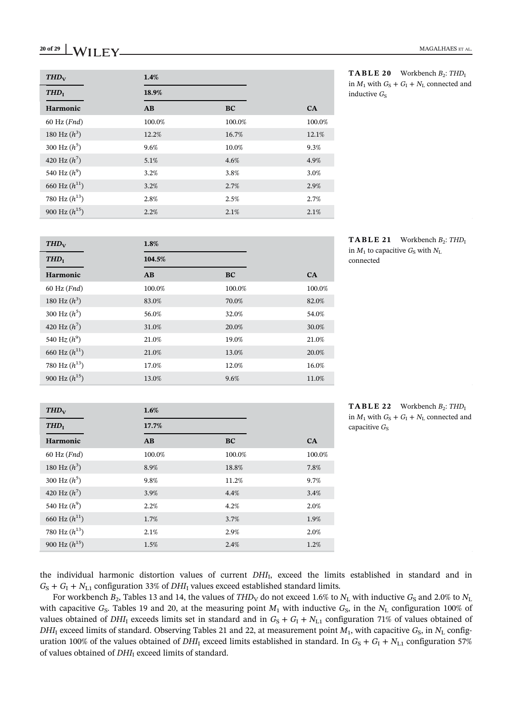# $\frac{20 \text{ of } 29 \text{ } | \text{ } }{\text{W1LEY}}$  MAGALHAES ET AL.

| $THD_V$           | 1.4%   |           |        |
|-------------------|--------|-----------|--------|
| THD <sub>I</sub>  | 18.9%  |           |        |
| Harmonic          | AB     | <b>BC</b> | CA     |
| $60$ Hz $(Fnd)$   | 100.0% | 100.0%    | 100.0% |
| 180 Hz $(h^3)$    | 12.2%  | 16.7%     | 12.1%  |
| 300 Hz $(h^5)$    | 9.6%   | 10.0%     | 9.3%   |
| 420 Hz $(h^7)$    | 5.1%   | 4.6%      | 4.9%   |
| 540 Hz $(h^9)$    | 3.2%   | 3.8%      | 3.0%   |
| 660 Hz $(h^{11})$ | 3.2%   | 2.7%      | 2.9%   |
| 780 Hz $(h^{13})$ | 2.8%   | 2.5%      | 2.7%   |
| 900 Hz $(h^{15})$ | 2.2%   | 2.1%      | 2.1%   |

**TABLE 20** Workbench  $B_2$ : THD<sub>I</sub> in  $M_1$  with  $G_S + G_I + N_L$  connected and inductive  $G<sub>S</sub>$ 

| TABLE 21  | Workbench $B_2$ : THD                   |
|-----------|-----------------------------------------|
|           | in $M_1$ to capacitive $G_s$ with $N_I$ |
| connected |                                         |

| $THD_V$           | 1.8%   |           |           |
|-------------------|--------|-----------|-----------|
| THD <sub>I</sub>  | 104.5% |           |           |
| Harmonic          | AB     | <b>BC</b> | <b>CA</b> |
| $60$ Hz $(Fnd)$   | 100.0% | 100.0%    | 100.0%    |
| 180 Hz $(h^3)$    | 83.0%  | 70.0%     | 82.0%     |
| 300 Hz $(h^5)$    | 56.0%  | 32.0%     | 54.0%     |
| 420 Hz $(h^7)$    | 31.0%  | 20.0%     | 30.0%     |
| 540 Hz $(h^9)$    | 21.0%  | 19.0%     | 21.0%     |
| 660 Hz $(h^{11})$ | 21.0%  | 13.0%     | 20.0%     |
| 780 Hz $(h^{13})$ | 17.0%  | 12.0%     | 16.0%     |
| 900 Hz $(h^{15})$ | 13.0%  | 9.6%      | 11.0%     |
|                   |        |           |           |

| $THD_V$           | 1.6%   |           |        |
|-------------------|--------|-----------|--------|
| THD <sub>I</sub>  | 17.7%  |           |        |
| Harmonic          | AB     | <b>BC</b> | CA     |
| $60$ Hz $(Fnd)$   | 100.0% | 100.0%    | 100.0% |
| 180 Hz $(h^3)$    | 8.9%   | 18.8%     | 7.8%   |
| 300 Hz $(h^5)$    | 9.8%   | 11.2%     | 9.7%   |
| 420 Hz $(h^7)$    | 3.9%   | 4.4%      | 3.4%   |
| 540 Hz $(h^9)$    | 2.2%   | 4.2%      | 2.0%   |
| 660 Hz $(h^{11})$ | 1.7%   | 3.7%      | 1.9%   |
| 780 Hz $(h^{13})$ | 2.1%   | 2.9%      | 2.0%   |
| 900 Hz $(h^{15})$ | 1.5%   | 2.4%      | 1.2%   |

**TABLE 22** Workbench  $B_2$ : THD<sub>I</sub> in  $M_1$  with  $G_S + G_I + N_L$  connected and capacitive  $G<sub>S</sub>$ 

the individual harmonic distortion values of current DHI<sub>I</sub>, exceed the limits established in standard and in  $G<sub>S</sub> + G<sub>I</sub> + N<sub>L1</sub>$  configuration 33% of  $DHI<sub>I</sub>$  values exceed established standard limits.

For workbench  $B_2$ , Tables 13 and 14, the values of THD<sub>V</sub> do not exceed 1.6% to  $N_L$  with inductive  $G_S$  and 2.0% to  $N_L$ with capacitive  $G_S$ . Tables 19 and 20, at the measuring point  $M_1$  with inductive  $G_S$ , in the  $N_L$  configuration 100% of values obtained of  $DHI<sub>I</sub>$  exceeds limits set in standard and in  $G<sub>S</sub> + G<sub>I</sub> + N<sub>L1</sub>$  configuration 71% of values obtained of  $DHI<sub>I</sub>$  exceed limits of standard. Observing Tables 21 and 22, at measurement point  $M<sub>1</sub>$ , with capacitive  $G<sub>S</sub>$ , in  $N<sub>L</sub>$  configuration 100% of the values obtained of DHI<sub>I</sub> exceed limits established in standard. In  $G_S + G_I + N_{L1}$  configuration 57% of values obtained of  $DHI<sub>I</sub>$  exceed limits of standard.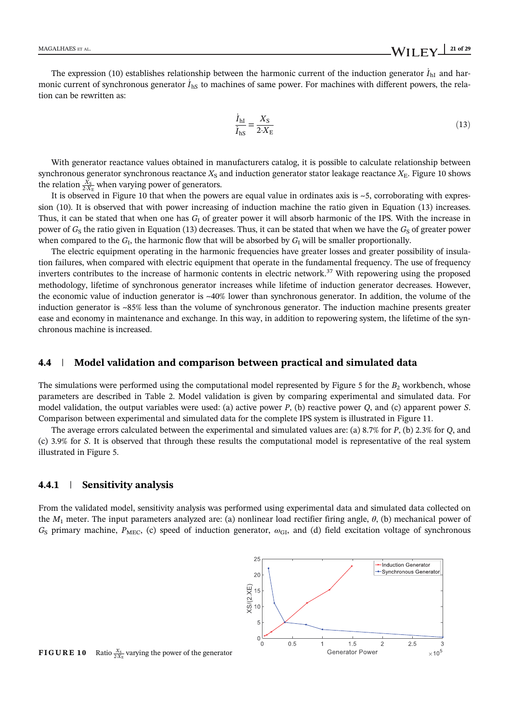The expression (10) establishes relationship between the harmonic current of the induction generator  $\dot{I}_{\rm hl}$  and harmonic current of synchronous generator  $\dot{I}_{\rm hs}$  to machines of same power. For machines with different powers, the relation can be rewritten as:

$$
\frac{\dot{I}_{\text{hI}}}{\dot{I}_{\text{hS}}} = \frac{X_{\text{S}}}{2 \cdot X_{\text{E}}}
$$
\n(13)

With generator reactance values obtained in manufacturers catalog, it is possible to calculate relationship between synchronous generator synchronous reactance  $X_S$  and induction generator stator leakage reactance  $X_E$ . Figure 10 shows the relation  $\frac{X_S}{2X_E}$  when varying power of generators.

It is observed in Figure 10 that when the powers are equal value in ordinates axis is  $-5$ , corroborating with expression (10). It is observed that with power increasing of induction machine the ratio given in Equation (13) increases. Thus, it can be stated that when one has  $G<sub>I</sub>$  of greater power it will absorb harmonic of the IPS. With the increase in power of  $G_S$  the ratio given in Equation (13) decreases. Thus, it can be stated that when we have the  $G_S$  of greater power when compared to the  $G<sub>I</sub>$ , the harmonic flow that will be absorbed by  $G<sub>I</sub>$  will be smaller proportionally.

The electric equipment operating in the harmonic frequencies have greater losses and greater possibility of insulation failures, when compared with electric equipment that operate in the fundamental frequency. The use of frequency inverters contributes to the increase of harmonic contents in electric network.<sup>37</sup> With repowering using the proposed methodology, lifetime of synchronous generator increases while lifetime of induction generator decreases. However, the economic value of induction generator is  $~40\%$  lower than synchronous generator. In addition, the volume of the induction generator is ~85% less than the volume of synchronous generator. The induction machine presents greater ease and economy in maintenance and exchange. In this way, in addition to repowering system, the lifetime of the synchronous machine is increased.

### 4.4 | Model validation and comparison between practical and simulated data

The simulations were performed using the computational model represented by Figure 5 for the  $B_2$  workbench, whose parameters are described in Table 2. Model validation is given by comparing experimental and simulated data. For model validation, the output variables were used: (a) active power  $P$ , (b) reactive power  $Q$ , and (c) apparent power  $S$ . Comparison between experimental and simulated data for the complete IPS system is illustrated in Figure 11.

The average errors calculated between the experimental and simulated values are: (a) 8.7% for P, (b) 2.3% for Q, and (c) 3.9% for S. It is observed that through these results the computational model is representative of the real system illustrated in Figure 5.

### 4.4.1 | Sensitivity analysis

From the validated model, sensitivity analysis was performed using experimental data and simulated data collected on the  $M_1$  meter. The input parameters analyzed are: (a) nonlinear load rectifier firing angle,  $\theta$ , (b) mechanical power of  $G<sub>S</sub>$  primary machine,  $P<sub>MEC</sub>$ , (c) speed of induction generator,  $\omega<sub>GI</sub>$ , and (d) field excitation voltage of synchronous



**FIGURE 10** Ratio  $\frac{X_S}{2X_E}$  varying the power of the generator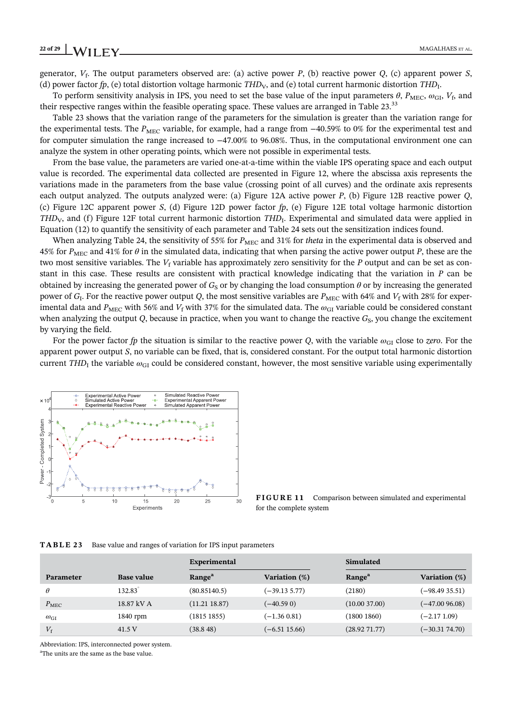### $\frac{22 \text{ of } 29 \text{ NAGALHAES ET ALR}}{22 \text{ of } 29 \text{ NAGALHAES ET ALR}}$

generator,  $V_f$ . The output parameters observed are: (a) active power P, (b) reactive power Q, (c) apparent power S, (d) power factor fp, (e) total distortion voltage harmonic THD<sub>V</sub>, and (e) total current harmonic distortion THD<sub>I</sub>.

To perform sensitivity analysis in IPS, you need to set the base value of the input parameters  $\theta$ ,  $P_{\text{MEC}}$ ,  $\omega_{\text{GI}}$ ,  $V_{\text{f}}$ , and their respective ranges within the feasible operating space. These values are arranged in Table 23.<sup>33</sup>

Table 23 shows that the variation range of the parameters for the simulation is greater than the variation range for the experimental tests. The  $P_{\text{MEC}}$  variable, for example, had a range from  $-40.59\%$  to 0% for the experimental test and for computer simulation the range increased to −47.00% to 96.08%. Thus, in the computational environment one can analyze the system in other operating points, which were not possible in experimental tests.

From the base value, the parameters are varied one-at-a-time within the viable IPS operating space and each output value is recorded. The experimental data collected are presented in Figure 12, where the abscissa axis represents the variations made in the parameters from the base value (crossing point of all curves) and the ordinate axis represents each output analyzed. The outputs analyzed were: (a) Figure 12A active power P, (b) Figure 12B reactive power Q, (c) Figure 12C apparent power S, (d) Figure 12D power factor  $fp$ , (e) Figure 12E total voltage harmonic distortion  $THD<sub>V</sub>$ , and (f) Figure 12F total current harmonic distortion  $THD<sub>I</sub>$ . Experimental and simulated data were applied in Equation (12) to quantify the sensitivity of each parameter and Table 24 sets out the sensitization indices found.

When analyzing Table 24, the sensitivity of 55% for  $P_{\text{MEC}}$  and 31% for theta in the experimental data is observed and 45% for  $P_{\text{MEC}}$  and 41% for  $\theta$  in the simulated data, indicating that when parsing the active power output P, these are the two most sensitive variables. The  $V_f$  variable has approximately zero sensitivity for the  $P$  output and can be set as constant in this case. These results are consistent with practical knowledge indicating that the variation in  $P$  can be obtained by increasing the generated power of  $G_S$  or by changing the load consumption  $\theta$  or by increasing the generated power of  $G_I$ . For the reactive power output Q, the most sensitive variables are  $P_{MEC}$  with 64% and  $V_f$  with 28% for experimental data and  $P_{\text{MEC}}$  with 56% and  $V_f$  with 37% for the simulated data. The  $\omega_{\text{GI}}$  variable could be considered constant when analyzing the output Q, because in practice, when you want to change the reactive  $G<sub>S</sub>$ , you change the excitement by varying the field.

For the power factor fp the situation is similar to the reactive power Q, with the variable  $\omega_{GI}$  close to zero. For the apparent power output S, no variable can be fixed, that is, considered constant. For the output total harmonic distortion current THD<sub>I</sub> the variable  $\omega_{GI}$  could be considered constant, however, the most sensitive variable using experimentally



FIGURE 11 Comparison between simulated and experimental for the complete system

| <b>TABLE 23</b> Base value and ranges of variation for IPS input parameters |
|-----------------------------------------------------------------------------|
|-----------------------------------------------------------------------------|

|                   |                   | Experimental       |                | Simulated          |                 |
|-------------------|-------------------|--------------------|----------------|--------------------|-----------------|
| <b>Parameter</b>  | <b>Base value</b> | Range <sup>a</sup> | Variation (%)  | Range <sup>a</sup> | Variation (%)   |
| $\theta$          | 132.83            | (80.85140.5)       | $(-39.135.77)$ | (2180)             | $(-98.4935.51)$ |
| $P_{MEC}$         | 18.87 kV A        | (11.2118.87)       | $(-40.59 0)$   | $(10.00\ 37.00)$   | $(-47.0096.08)$ |
| $\omega_{\rm GI}$ | 1840 rpm          | (1815 1855)        | $(-1.360.81)$  | (1800 1860)        | $(-2.171.09)$   |
| $V_{\rm f}$       | 41.5 V            | (38.848)           | $(-6.5115.66)$ | (28.9271.77)       | $(-30.3174.70)$ |

Abbreviation: IPS, interconnected power system.

<sup>a</sup>The units are the same as the base value.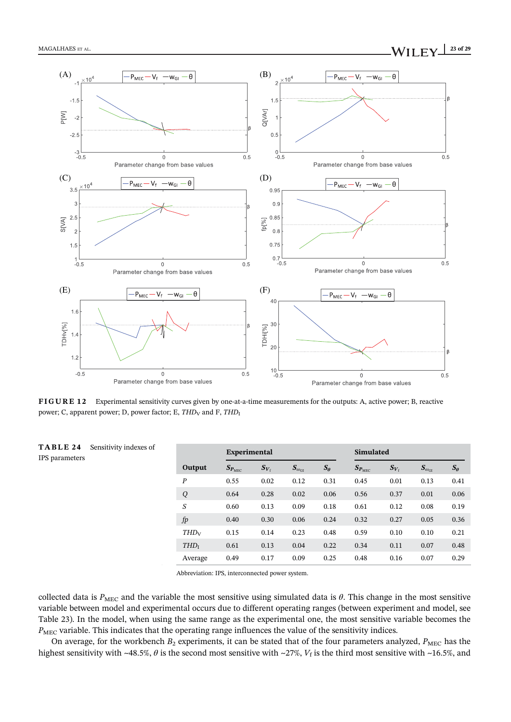

FIGURE 12 Experimental sensitivity curves given by one-at-a-time measurements for the outputs: A, active power; B, reactive power; C, apparent power; D, power factor; E,  $THD<sub>V</sub>$  and F,  $THD<sub>I</sub>$ 

| TABLE 24<br>Sensitivity indexes of<br>IPS parameters |                       | Experimental                                      |                                |           |                            | <b>Simulated</b> |                                |                 |                              |              |
|------------------------------------------------------|-----------------------|---------------------------------------------------|--------------------------------|-----------|----------------------------|------------------|--------------------------------|-----------------|------------------------------|--------------|
|                                                      |                       | Output                                            | $\bm{S}_{\bm{P}_{\text{MEC}}}$ | $S_{V_f}$ | $\bm{S}_{\omega_{\rm GI}}$ | $S_{\theta}$     | $\bm{S}_{\bm{P}_{\text{MEC}}}$ | $S_{V_{\rm f}}$ | $\bm{S}_{\omega_{\rm GI}}$   | $S_{\theta}$ |
|                                                      | $\boldsymbol{P}$<br>Q |                                                   | 0.55                           | 0.02      | 0.12                       | 0.31             | 0.45                           | 0.01            | 0.13                         | 0.41         |
|                                                      |                       |                                                   | 0.64                           | 0.28      | 0.02                       | 0.06             | 0.56                           | 0.37            | 0.01                         | 0.06         |
|                                                      |                       | S<br>0.60<br>0.09<br>0.18<br>0.61<br>0.13<br>0.12 | 0.08                           | 0.19      |                            |                  |                                |                 |                              |              |
|                                                      |                       | fp                                                | 0.40                           | 0.30      | 0.06                       | 0.24             | 0.32                           | 0.27            | 0.05                         | 0.36         |
|                                                      |                       | $THD_V$                                           | 0.15                           | 0.14      | 0.23                       | 0.48             | 0.59                           | 0.10            | 0.10<br>0.21<br>0.07<br>0.48 |              |
|                                                      |                       | THD <sub>T</sub>                                  | 0.61                           | 0.13      | 0.04                       | 0.22             | 0.34                           | 0.11            |                              |              |
|                                                      |                       | Average                                           | 0.49                           | 0.17      | 0.09                       | 0.25             | 0.48                           | 0.16            | 0.07                         | 0.29         |
|                                                      |                       |                                                   |                                |           |                            |                  |                                |                 |                              |              |

Abbreviation: IPS, interconnected power system.

collected data is  $P_{\text{MEC}}$  and the variable the most sensitive using simulated data is  $\theta$ . This change in the most sensitive variable between model and experimental occurs due to different operating ranges (between experiment and model, see Table 23). In the model, when using the same range as the experimental one, the most sensitive variable becomes the  $P<sub>MEC</sub>$  variable. This indicates that the operating range influences the value of the sensitivity indices.

On average, for the workbench  $B_2$  experiments, it can be stated that of the four parameters analyzed,  $P_{\text{MEC}}$  has the highest sensitivity with ~48.5%,  $\theta$  is the second most sensitive with ~27%,  $V_f$  is the third most sensitive with ~16.5%, and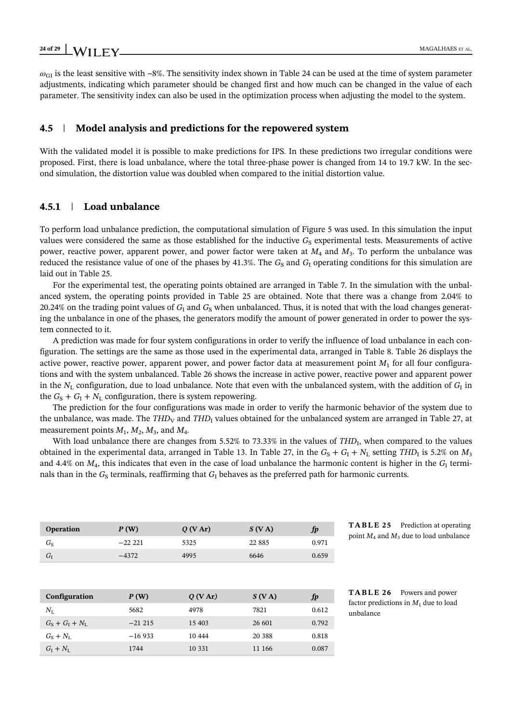$\omega_{\text{GI}}$  is the least sensitive with ~8%. The sensitivity index shown in Table 24 can be used at the time of system parameter adjustments, indicating which parameter should be changed first and how much can be changed in the value of each parameter. The sensitivity index can also be used in the optimization process when adjusting the model to the system.

### 4.5 | Model analysis and predictions for the repowered system

With the validated model it is possible to make predictions for IPS. In these predictions two irregular conditions were proposed. First, there is load unbalance, where the total three-phase power is changed from 14 to 19.7 kW. In the second simulation, the distortion value was doubled when compared to the initial distortion value.

### 4.5.1 | Load unbalance

To perform load unbalance prediction, the computational simulation of Figure 5 was used. In this simulation the input values were considered the same as those established for the inductive  $G<sub>S</sub>$  experimental tests. Measurements of active power, reactive power, apparent power, and power factor were taken at  $M_4$  and  $M_3$ . To perform the unbalance was reduced the resistance value of one of the phases by 41.3%. The  $G<sub>S</sub>$  and  $G<sub>I</sub>$  operating conditions for this simulation are laid out in Table 25.

For the experimental test, the operating points obtained are arranged in Table 7. In the simulation with the unbalanced system, the operating points provided in Table 25 are obtained. Note that there was a change from 2.04% to 20.24% on the trading point values of  $G_I$  and  $G_S$  when unbalanced. Thus, it is noted that with the load changes generating the unbalance in one of the phases, the generators modify the amount of power generated in order to power the system connected to it.

A prediction was made for four system configurations in order to verify the influence of load unbalance in each configuration. The settings are the same as those used in the experimental data, arranged in Table 8. Table 26 displays the active power, reactive power, apparent power, and power factor data at measurement point  $M_1$  for all four configurations and with the system unbalanced. Table 26 shows the increase in active power, reactive power and apparent power in the  $N_L$  configuration, due to load unbalance. Note that even with the unbalanced system, with the addition of  $G_I$  in the  $G_S + G_I + N_L$  configuration, there is system repowering.

The prediction for the four configurations was made in order to verify the harmonic behavior of the system due to the unbalance, was made. The  $THD<sub>V</sub>$  and  $THD<sub>I</sub>$  values obtained for the unbalanced system are arranged in Table 27, at measurement points  $M_1, M_2, M_3$ , and  $M_4$ .

With load unbalance there are changes from  $5.52\%$  to  $73.33\%$  in the values of  $THD<sub>I</sub>$ , when compared to the values obtained in the experimental data, arranged in Table 13. In Table 27, in the  $G_S + G_I + N_L$  setting THD<sub>I</sub> is 5.2% on  $M_3$ and 4.4% on  $M_4$ , this indicates that even in the case of load unbalance the harmonic content is higher in the  $G<sub>I</sub>$  terminals than in the  $G<sub>S</sub>$  terminals, reaffirming that  $G<sub>I</sub>$  behaves as the preferred path for harmonic currents.

| <b>Operation</b> | P(W)     | Q (V Ar) | S(VA)    | ĴР    |
|------------------|----------|----------|----------|-------|
| $G_{\rm S}$      | $-22221$ | 5325     | 22 8 8 5 | 0.971 |
| $G_I$            | $-4372$  | 4995     | 6646     | 0.659 |
|                  |          |          |          |       |

TABLE 25 Prediction at operating point  $M_4$  and  $M_3$  due to load unbalance

| Configuration                       | P(W)     | Q (V Ar) | S(VA)  | fp    |
|-------------------------------------|----------|----------|--------|-------|
| $N_{\rm L}$                         | 5682     | 4978     | 7821   | 0.612 |
| $G_{\rm S} + G_{\rm I} + N_{\rm L}$ | $-21215$ | 15 403   | 26 601 | 0.792 |
| $G_{\rm S}+N_{\rm L}$               | $-16933$ | 10 444   | 20 388 | 0.818 |
| $G_{\rm I} + N_{\rm L}$             | 1744     | 10 331   | 11 166 | 0.087 |

TABLE 26 Powers and power factor predictions in  $M_1$  due to load unbalance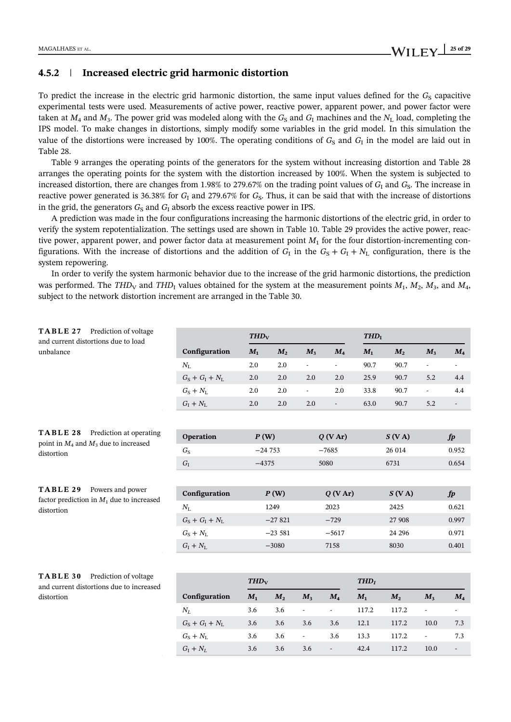### 4.5.2 | Increased electric grid harmonic distortion

To predict the increase in the electric grid harmonic distortion, the same input values defined for the  $G<sub>S</sub>$  capacitive experimental tests were used. Measurements of active power, reactive power, apparent power, and power factor were taken at  $M_4$  and  $M_3$ . The power grid was modeled along with the  $G_S$  and  $G_I$  machines and the  $N_L$  load, completing the IPS model. To make changes in distortions, simply modify some variables in the grid model. In this simulation the value of the distortions were increased by 100%. The operating conditions of  $G<sub>S</sub>$  and  $G<sub>I</sub>$  in the model are laid out in Table 28.

Table 9 arranges the operating points of the generators for the system without increasing distortion and Table 28 arranges the operating points for the system with the distortion increased by 100%. When the system is subjected to increased distortion, there are changes from 1.98% to 279.67% on the trading point values of  $G_I$  and  $G_S$ . The increase in reactive power generated is 36.38% for  $G<sub>I</sub>$  and 279.67% for  $G<sub>S</sub>$ . Thus, it can be said that with the increase of distortions in the grid, the generators  $G_S$  and  $G_I$  absorb the excess reactive power in IPS.

A prediction was made in the four configurations increasing the harmonic distortions of the electric grid, in order to verify the system repotentialization. The settings used are shown in Table 10. Table 29 provides the active power, reactive power, apparent power, and power factor data at measurement point  $M_1$  for the four distortion-incrementing configurations. With the increase of distortions and the addition of  $G_I$  in the  $G_S + G_I + N_L$  configuration, there is the system repowering.

In order to verify the system harmonic behavior due to the increase of the grid harmonic distortions, the prediction was performed. The THD<sub>V</sub> and THD<sub>I</sub> values obtained for the system at the measurement points  $M_1$ ,  $M_2$ ,  $M_3$ , and  $M_4$ , subject to the network distortion increment are arranged in the Table 30.

| Prediction of voltage<br>TABLE 27<br>and current distortions due to load      |                                     | $THD_V$ |          |                          | THD <sub>I</sub>             |                  |                |                          |                          |
|-------------------------------------------------------------------------------|-------------------------------------|---------|----------|--------------------------|------------------------------|------------------|----------------|--------------------------|--------------------------|
| unbalance                                                                     | Configuration                       | $M_1$   | $M_{2}$  | $M_{\rm{2}}$             | $M_4$                        | $M_1$            | $M_{2}$        | $M_{\rm z}$              | $M_{4}$                  |
|                                                                               | $N_{\rm L}$                         | 2.0     | 2.0      | $\overline{\phantom{a}}$ | $\qquad \qquad \blacksquare$ | 90.7             | 90.7           | $\frac{1}{2}$            | $\sim$                   |
|                                                                               | $G_{S} + G_{I} + N_{L}$             | 2.0     | 2.0      | 2.0                      | 2.0                          | 25.9             | 90.7           | 5.2                      | 4.4                      |
|                                                                               | $G_{\rm S}+N_{\rm L}$               | 2.0     | 2.0      | $\overline{\phantom{a}}$ | 2.0                          | 33.8             | 90.7           | $\overline{\phantom{a}}$ | 4.4                      |
|                                                                               | $G_{\rm I}+N_{\rm L}$               | 2.0     | 2.0      | 2.0                      |                              | 63.0             | 90.7           | 5.2                      | $\overline{\phantom{a}}$ |
|                                                                               |                                     |         |          |                          |                              |                  |                |                          |                          |
| TABLE 28<br>Prediction at operating                                           | Operation                           | P(W)    |          |                          | Q (V Ar)                     |                  | S(VA)          |                          | $\boldsymbol{fp}$        |
| point in $M_4$ and $M_3$ due to increased<br>distortion                       | $G_{S}$                             |         | $-24753$ |                          | $-7685$                      |                  | 26 014         |                          | 0.952                    |
|                                                                               | $G_{I}$                             | $-4375$ |          |                          | 5080                         |                  | 6731           |                          | 0.654                    |
|                                                                               |                                     |         |          |                          |                              |                  |                |                          |                          |
| TABLE 29<br>Powers and power                                                  | Configuration                       |         | P(W)     |                          | Q (V Ar)                     |                  | S(VA)          |                          | $\boldsymbol{fp}$        |
| factor prediction in $M_1$ due to increased<br>distortion                     | $N_{\rm L}$                         |         | 1249     |                          | 2023                         |                  | 2425           |                          | 0.621                    |
|                                                                               | $G_{\rm S} + G_{\rm I} + N_{\rm L}$ |         | $-27821$ |                          | $-729$                       |                  | 27 908         |                          | 0.997                    |
|                                                                               | $G_{\rm S}+N_{\rm L}$               |         | $-23581$ |                          | $-5617$                      |                  | 24 29 6        |                          | 0.971                    |
|                                                                               | $G_{I} + N_{I}$                     |         | $-3080$  |                          | 7158                         |                  | 8030           |                          | 0.401                    |
|                                                                               |                                     |         |          |                          |                              |                  |                |                          |                          |
| TABLE 30<br>Prediction of voltage<br>and current distortions due to increased |                                     | $THD_V$ |          |                          |                              | THD <sub>I</sub> |                |                          |                          |
| distortion                                                                    | Configuration                       | $M_1$   | $M_2$    | M <sub>3</sub>           | $M_4$                        | $M_1$            | M <sub>2</sub> | M <sub>3</sub>           | $M_4$                    |

|                                     | $THD_V$ |         |                          |                              | THD <sub>r</sub> |                |                          |                          |  |
|-------------------------------------|---------|---------|--------------------------|------------------------------|------------------|----------------|--------------------------|--------------------------|--|
| Configuration                       | $M_1$   | $M_{2}$ | $M_3$                    | $M_4$                        | $M_1$            | M <sub>2</sub> | $M_{3}$                  | $M_4$                    |  |
| $N_L$                               | 3.6     | 3.6     | $\overline{\phantom{a}}$ | $\overline{\phantom{a}}$     | 117.2            | 117.2          | $\overline{\phantom{a}}$ | $\overline{\phantom{a}}$ |  |
| $G_{\rm S} + G_{\rm I} + N_{\rm L}$ | 3.6     | 3.6     | 3.6                      | 3.6                          | 12.1             | 117.2          | 10.0                     | 7.3                      |  |
| $G_{\rm S}+N_{\rm L}$               | 3.6     | 3.6     | $\overline{\phantom{a}}$ | 3.6                          | 13.3             | 117.2          | $\overline{\phantom{a}}$ | 7.3                      |  |
| $G_I + N_I$                         | 3.6     | 3.6     | 3.6                      | $\qquad \qquad \blacksquare$ | 42.4             | 117.2          | 10.0                     | $\overline{\phantom{a}}$ |  |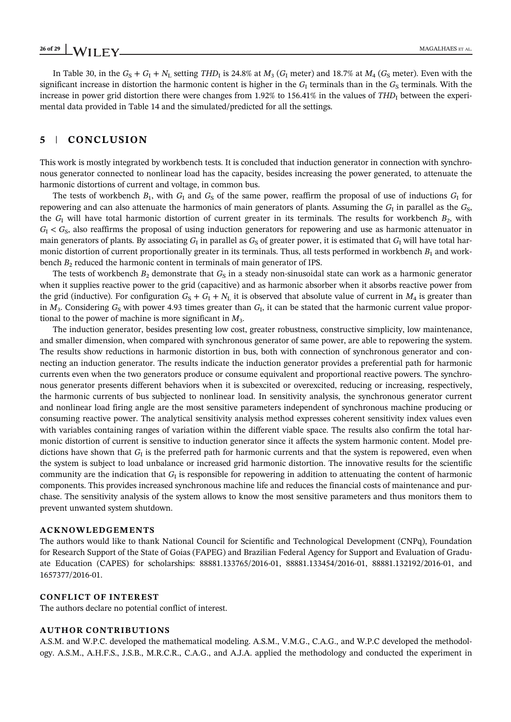In Table 30, in the  $G_S + G_I + N_L$  setting THD<sub>I</sub> is 24.8% at  $M_3$  ( $G_I$  meter) and 18.7% at  $M_4$  ( $G_S$  meter). Even with the significant increase in distortion the harmonic content is higher in the  $G<sub>I</sub>$  terminals than in the  $G<sub>S</sub>$  terminals. With the increase in power grid distortion there were changes from 1.92% to 156.41% in the values of  $THD<sub>I</sub>$  between the experimental data provided in Table 14 and the simulated/predicted for all the settings.

### 5 | CONCLUSION

This work is mostly integrated by workbench tests. It is concluded that induction generator in connection with synchronous generator connected to nonlinear load has the capacity, besides increasing the power generated, to attenuate the harmonic distortions of current and voltage, in common bus.

The tests of workbench  $B_1$ , with  $G_I$  and  $G_S$  of the same power, reaffirm the proposal of use of inductions  $G_I$  for repowering and can also attenuate the harmonics of main generators of plants. Assuming the  $G_I$  in parallel as the  $G_S$ , the  $G<sub>1</sub>$  will have total harmonic distortion of current greater in its terminals. The results for workbench  $B<sub>2</sub>$ , with  $G<sub>I</sub> < G<sub>S</sub>$ , also reaffirms the proposal of using induction generators for repowering and use as harmonic attenuator in main generators of plants. By associating  $G<sub>I</sub>$  in parallel as  $G<sub>S</sub>$  of greater power, it is estimated that  $G<sub>I</sub>$  will have total harmonic distortion of current proportionally greater in its terminals. Thus, all tests performed in workbench  $B_1$  and workbench  $B_2$  reduced the harmonic content in terminals of main generator of IPS.

The tests of workbench  $B_2$  demonstrate that  $G<sub>S</sub>$  in a steady non-sinusoidal state can work as a harmonic generator when it supplies reactive power to the grid (capacitive) and as harmonic absorber when it absorbs reactive power from the grid (inductive). For configuration  $G_S + G_I + N_L$  it is observed that absolute value of current in  $M_4$  is greater than in  $M_3$ . Considering  $G_S$  with power 4.93 times greater than  $G_I$ , it can be stated that the harmonic current value proportional to the power of machine is more significant in  $M_3$ .

The induction generator, besides presenting low cost, greater robustness, constructive simplicity, low maintenance, and smaller dimension, when compared with synchronous generator of same power, are able to repowering the system. The results show reductions in harmonic distortion in bus, both with connection of synchronous generator and connecting an induction generator. The results indicate the induction generator provides a preferential path for harmonic currents even when the two generators produce or consume equivalent and proportional reactive powers. The synchronous generator presents different behaviors when it is subexcited or overexcited, reducing or increasing, respectively, the harmonic currents of bus subjected to nonlinear load. In sensitivity analysis, the synchronous generator current and nonlinear load firing angle are the most sensitive parameters independent of synchronous machine producing or consuming reactive power. The analytical sensitivity analysis method expresses coherent sensitivity index values even with variables containing ranges of variation within the different viable space. The results also confirm the total harmonic distortion of current is sensitive to induction generator since it affects the system harmonic content. Model predictions have shown that  $G<sub>I</sub>$  is the preferred path for harmonic currents and that the system is repowered, even when the system is subject to load unbalance or increased grid harmonic distortion. The innovative results for the scientific community are the indication that  $G<sub>I</sub>$  is responsible for repowering in addition to attenuating the content of harmonic components. This provides increased synchronous machine life and reduces the financial costs of maintenance and purchase. The sensitivity analysis of the system allows to know the most sensitive parameters and thus monitors them to prevent unwanted system shutdown.

### ACKNOWLEDGEMENTS

The authors would like to thank National Council for Scientific and Technological Development (CNPq), Foundation for Research Support of the State of Goias (FAPEG) and Brazilian Federal Agency for Support and Evaluation of Graduate Education (CAPES) for scholarships: 88881.133765/2016-01, 88881.133454/2016-01, 88881.132192/2016-01, and 1657377/2016-01.

#### CONFLICT OF INTEREST

The authors declare no potential conflict of interest.

### AUTHOR CONTRIBUTIONS

A.S.M. and W.P.C. developed the mathematical modeling. A.S.M., V.M.G., C.A.G., and W.P.C developed the methodology. A.S.M., A.H.F.S., J.S.B., M.R.C.R., C.A.G., and A.J.A. applied the methodology and conducted the experiment in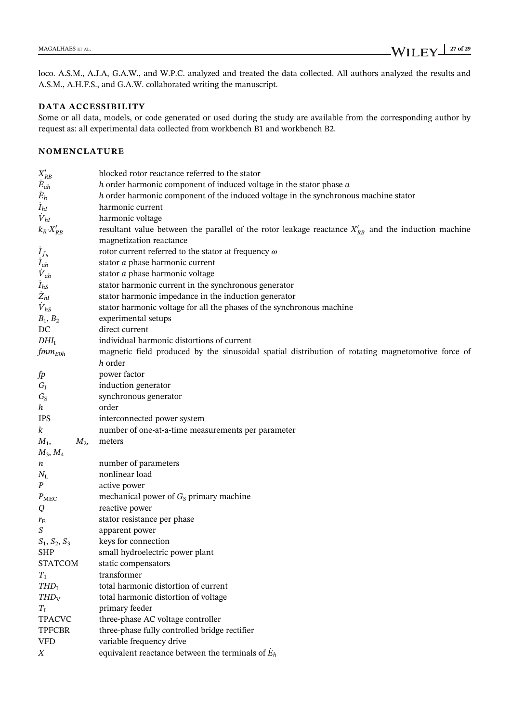loco. A.S.M., A.J.A, G.A.W., and W.P.C. analyzed and treated the data collected. All authors analyzed the results and A.S.M., A.H.F.S., and G.A.W. collaborated writing the manuscript.

### DATA ACCESSIBILITY

Some or all data, models, or code generated or used during the study are available from the corresponding author by request as: all experimental data collected from workbench B1 and workbench B2.

### NOMENCLATURE

|                                                                   |       | blocked rotor reactance referred to the stator                                                                                     |
|-------------------------------------------------------------------|-------|------------------------------------------------------------------------------------------------------------------------------------|
| $\begin{array}{c} X'_{RB}\ \dot{E}_{ah}\ \dot{E}_{h} \end{array}$ |       | $h$ order harmonic component of induced voltage in the stator phase $a$                                                            |
|                                                                   |       | h order harmonic component of the induced voltage in the synchronous machine stator                                                |
| $\dot{I}_{hI}$                                                    |       | harmonic current                                                                                                                   |
| $\dot{V}_{hI}$                                                    |       | harmonic voltage                                                                                                                   |
| $k_R \cdot X'_{RB}$                                               |       | resultant value between the parallel of the rotor leakage reactance $X'_{RB}$ and the induction machine<br>magnetization reactance |
|                                                                   |       | rotor current referred to the stator at frequency $\omega$                                                                         |
| $\frac{\dot{I}_{f_h}}{\dot{I}_{ah}}$                              |       | stator a phase harmonic current                                                                                                    |
| $\dot{V}_{ah}$                                                    |       | stator a phase harmonic voltage                                                                                                    |
| $I_{hS}$                                                          |       | stator harmonic current in the synchronous generator                                                                               |
| $\dot{Z}_{hI}$                                                    |       | stator harmonic impedance in the induction generator                                                                               |
| $\dot{V}_{hS}$                                                    |       | stator harmonic voltage for all the phases of the synchronous machine                                                              |
| $B_1, B_2$                                                        |       | experimental setups                                                                                                                |
| DC                                                                |       | direct current                                                                                                                     |
| $DHI_I$                                                           |       | individual harmonic distortions of current                                                                                         |
| $fmm_{E0h}$                                                       |       | magnetic field produced by the sinusoidal spatial distribution of rotating magnetomotive force of                                  |
|                                                                   |       | h order                                                                                                                            |
| fp                                                                |       | power factor                                                                                                                       |
| $G_{\rm I}$                                                       |       | induction generator                                                                                                                |
| $G_{\rm S}$                                                       |       | synchronous generator                                                                                                              |
| $\boldsymbol{h}$                                                  |       | order                                                                                                                              |
| <b>IPS</b>                                                        |       | interconnected power system                                                                                                        |
| $\boldsymbol{k}$                                                  |       | number of one-at-a-time measurements per parameter                                                                                 |
| $M_1$ ,                                                           | $M_2$ | meters                                                                                                                             |
| $M_3, M_4$                                                        |       |                                                                                                                                    |
| п                                                                 |       | number of parameters                                                                                                               |
| $N_{\rm L}$                                                       |       | nonlinear load                                                                                                                     |
| $\boldsymbol{P}$                                                  |       | active power                                                                                                                       |
| $P_{\rm MEC}$                                                     |       | mechanical power of $GS$ primary machine                                                                                           |
| Q                                                                 |       | reactive power                                                                                                                     |
| $r_{\rm E}$                                                       |       | stator resistance per phase                                                                                                        |
| S                                                                 |       | apparent power                                                                                                                     |
| $S_1, S_2, S_3$                                                   |       | keys for connection                                                                                                                |
| <b>SHP</b>                                                        |       | small hydroelectric power plant                                                                                                    |
| <b>STATCOM</b>                                                    |       | static compensators                                                                                                                |
| $T_{1}$                                                           |       | transformer                                                                                                                        |
| THD <sub>I</sub>                                                  |       | total harmonic distortion of current                                                                                               |
| $THD_V$                                                           |       | total harmonic distortion of voltage                                                                                               |
| $T_{\rm L}$                                                       |       | primary feeder                                                                                                                     |
| <b>TPACVC</b>                                                     |       | three-phase AC voltage controller                                                                                                  |
| <b>TPFCBR</b>                                                     |       | three-phase fully controlled bridge rectifier                                                                                      |
| <b>VFD</b>                                                        |       | variable frequency drive                                                                                                           |
| X                                                                 |       | equivalent reactance between the terminals of $E_h$                                                                                |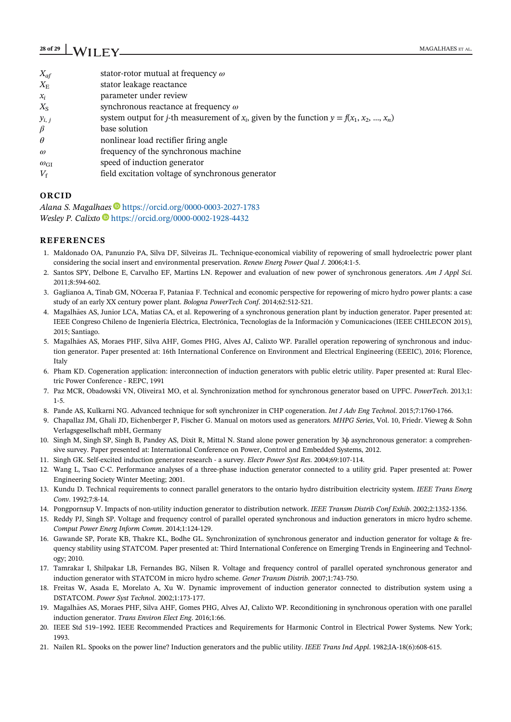# $\frac{28 \text{ of } 29 \text{ } \text{ }}{\text{MAGALHAES ET AL}}$

| $X_{af}$          | stator-rotor mutual at frequency $\omega$                                                            |
|-------------------|------------------------------------------------------------------------------------------------------|
| $X_{\rm E}$       | stator leakage reactance                                                                             |
| $\mathcal{X}_i$   | parameter under review                                                                               |
| $X_{\rm S}$       | synchronous reactance at frequency $\omega$                                                          |
| $y_{i, j}$        | system output for <i>j</i> -th measurement of $x_i$ , given by the function $y = f(x_1, x_2, , x_n)$ |
| $\beta$           | base solution                                                                                        |
| $\theta$          | nonlinear load rectifier firing angle                                                                |
| $\omega$          | frequency of the synchronous machine                                                                 |
| $\omega_{\rm GI}$ | speed of induction generator                                                                         |
| $V_{\rm f}$       | field excitation voltage of synchronous generator                                                    |
|                   |                                                                                                      |

### ORCID

Alana S. Magalhaes  $\blacksquare$  https://orcid.org/0000-0003-2027-1783 Wesley P. Calixto https://orcid.org/0000-0002-1928-4432

### REFERENCES

- 1. Maldonado OA, Panunzio PA, Silva DF, Silveiras JL. Technique-economical viability of repowering of small hydroelectric power plant considering the social insert and environmental preservation. Renew Energ Power Qual J. 2006;4:1-5.
- 2. Santos SPY, Delbone E, Carvalho EF, Martins LN. Repower and evaluation of new power of synchronous generators. Am J Appl Sci. 2011;8:594-602.
- 3. Gaglianoa A, Tinab GM, NOceraa F, Pataniaa F. Technical and economic perspective for repowering of micro hydro power plants: a case study of an early XX century power plant. Bologna PowerTech Conf. 2014;62:512-521.
- 4. Magalhães AS, Junior LCA, Matias CA, et al. Repowering of a synchronous generation plant by induction generator. Paper presented at: IEEE Congreso Chileno de Ingeniería Eléctrica, Electrónica, Tecnologías de la Información y Comunicaciones (IEEE CHILECON 2015), 2015; Santiago.
- 5. Magalhães AS, Moraes PHF, Silva AHF, Gomes PHG, Alves AJ, Calixto WP. Parallel operation repowering of synchronous and induction generator. Paper presented at: 16th International Conference on Environment and Electrical Engineering (EEEIC), 2016; Florence, Italy
- 6. Pham KD. Cogeneration application: interconnection of induction generators with public eletric utility. Paper presented at: Rural Electric Power Conference - REPC, 1991
- 7. Paz MCR, Obadowski VN, Oliveira1 MO, et al. Synchronization method for synchronous generator based on UPFC. PowerTech. 2013;1: 1-5.
- 8. Pande AS, Kulkarni NG. Advanced technique for soft synchronizer in CHP cogeneration. Int J Adv Eng Technol. 2015;7:1760-1766.
- 9. Chapallaz JM, Ghali JD, Eichenberger P, Fischer G. Manual on motors used as generators. MHPG Series, Vol. 10, Friedr. Vieweg & Sohn Verlagsgesellschaft mbH, Germany
- 10. Singh M, Singh SP, Singh B, Pandey AS, Dixit R, Mittal N. Stand alone power generation by 3ϕ asynchronous generator: a comprehensive survey. Paper presented at: International Conference on Power, Control and Embedded Systems, 2012.
- 11. Singh GK. Self-excited induction generator research a survey. Electr Power Syst Res. 2004;69:107-114.
- 12. Wang L, Tsao C-C. Performance analyses of a three-phase induction generator connected to a utility grid. Paper presented at: Power Engineering Society Winter Meeting; 2001.
- 13. Kundu D. Technical requirements to connect parallel generators to the ontario hydro distribuition electricity system. IEEE Trans Energ Conv. 1992;7:8-14.
- 14. Pongpornsup V. Impacts of non-utility induction generator to distribution network. IEEE Transm Distrib Conf Exhib. 2002;2:1352-1356.
- 15. Reddy PJ, Singh SP. Voltage and frequency control of parallel operated synchronous and induction generators in micro hydro scheme. Comput Power Energ Inform Comm. 2014;1:124-129.
- 16. Gawande SP, Porate KB, Thakre KL, Bodhe GL. Synchronization of synchronous generator and induction generator for voltage & frequency stability using STATCOM. Paper presented at: Third International Conference on Emerging Trends in Engineering and Technology; 2010.
- 17. Tamrakar I, Shilpakar LB, Fernandes BG, Nilsen R. Voltage and frequency control of parallel operated synchronous generator and induction generator with STATCOM in micro hydro scheme. Gener Transm Distrib. 2007;1:743-750.
- 18. Freitas W, Asada E, Morelato A, Xu W. Dynamic improvement of induction generator connected to distribution system using a DSTATCOM. Power Syst Technol. 2002;1:173-177.
- 19. Magalhães AS, Moraes PHF, Silva AHF, Gomes PHG, Alves AJ, Calixto WP. Reconditioning in synchronous operation with one parallel induction generator. Trans Environ Elect Eng. 2016;1:66.
- 20. IEEE Std 519–1992. IEEE Recommended Practices and Requirements for Harmonic Control in Electrical Power Systems. New York; 1993.
- 21. Nailen RL. Spooks on the power line? Induction generators and the public utility. IEEE Trans Ind Appl. 1982;IA-18(6):608-615.